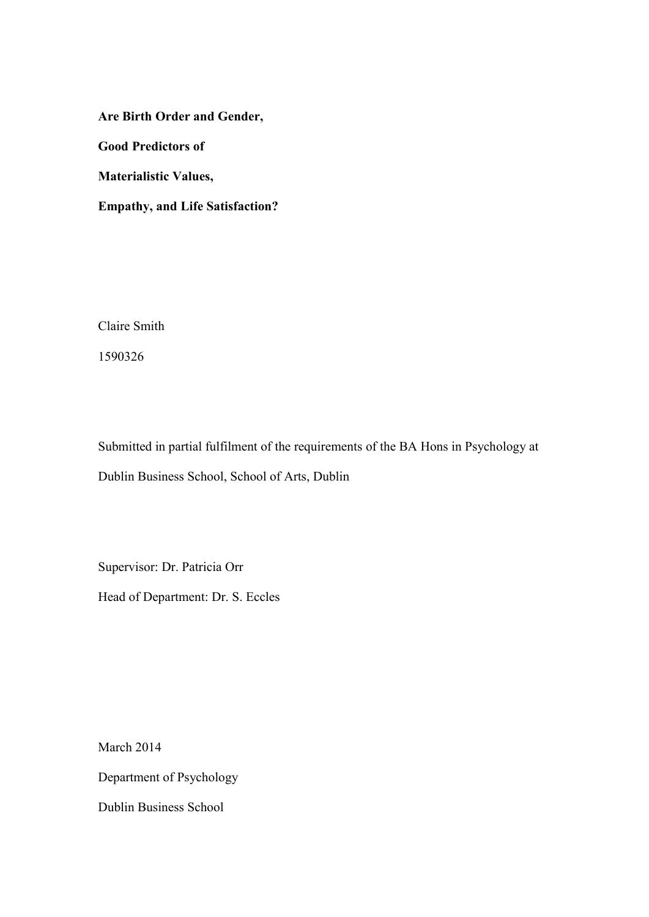**Are Birth Order and Gender, Good Predictors of Materialistic Values,** 

**Empathy, and Life Satisfaction?** 

Claire Smith

1590326

Submitted in partial fulfilment of the requirements of the BA Hons in Psychology at Dublin Business School, School of Arts, Dublin

Supervisor: Dr. Patricia Orr Head of Department: Dr. S. Eccles

March 2014 Department of Psychology Dublin Business School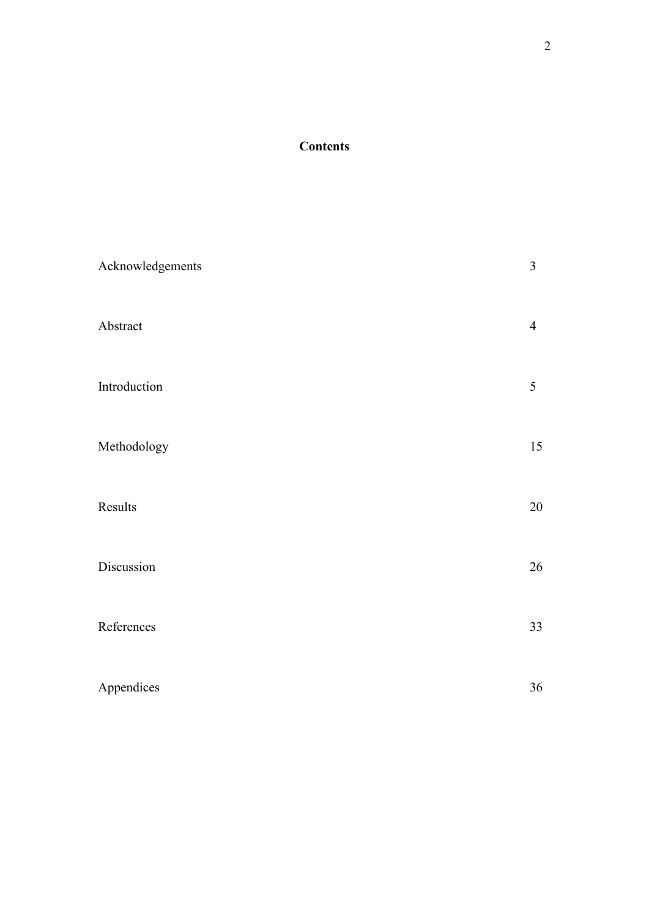# **Contents**

| Acknowledgements | 3              |
|------------------|----------------|
| Abstract         | $\overline{4}$ |
| Introduction     | 5              |
| Methodology      | 15             |
| Results          | $20\,$         |
| Discussion       | 26             |
| References       | 33             |
| Appendices       | $36\,$         |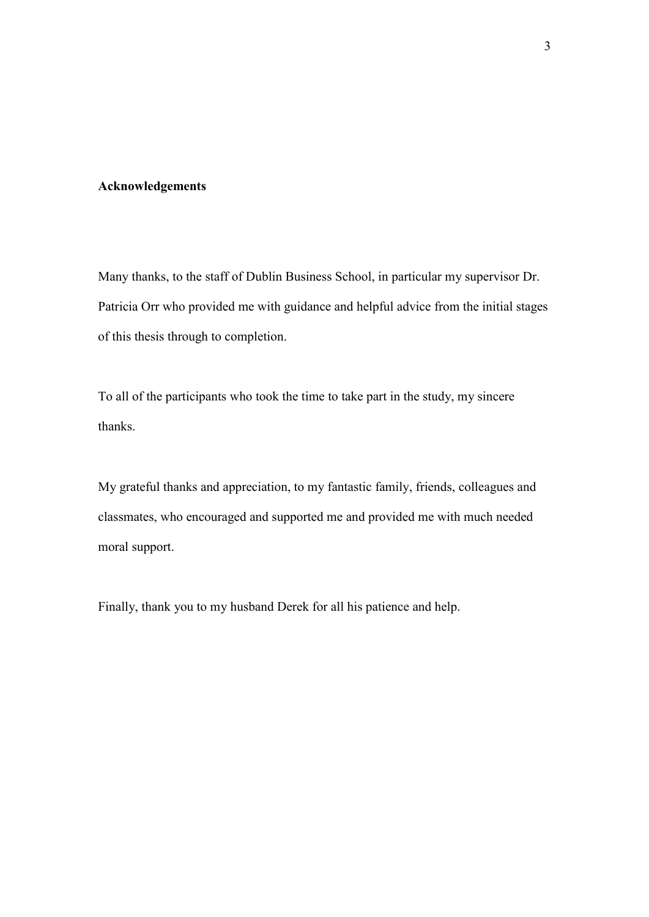## **Acknowledgements**

Many thanks, to the staff of Dublin Business School, in particular my supervisor Dr. Patricia Orr who provided me with guidance and helpful advice from the initial stages of this thesis through to completion.

To all of the participants who took the time to take part in the study, my sincere thanks.

My grateful thanks and appreciation, to my fantastic family, friends, colleagues and classmates, who encouraged and supported me and provided me with much needed moral support.

Finally, thank you to my husband Derek for all his patience and help.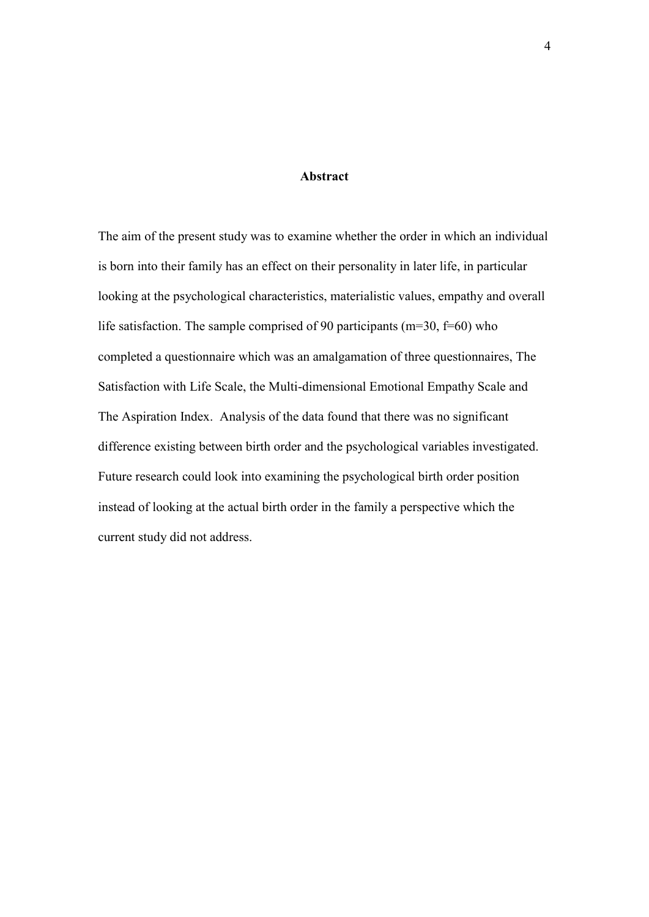## **Abstract**

The aim of the present study was to examine whether the order in which an individual is born into their family has an effect on their personality in later life, in particular looking at the psychological characteristics, materialistic values, empathy and overall life satisfaction. The sample comprised of 90 participants ( $m=30$ ,  $f=60$ ) who completed a questionnaire which was an amalgamation of three questionnaires, The Satisfaction with Life Scale, the Multi-dimensional Emotional Empathy Scale and The Aspiration Index. Analysis of the data found that there was no significant difference existing between birth order and the psychological variables investigated. Future research could look into examining the psychological birth order position instead of looking at the actual birth order in the family a perspective which the current study did not address.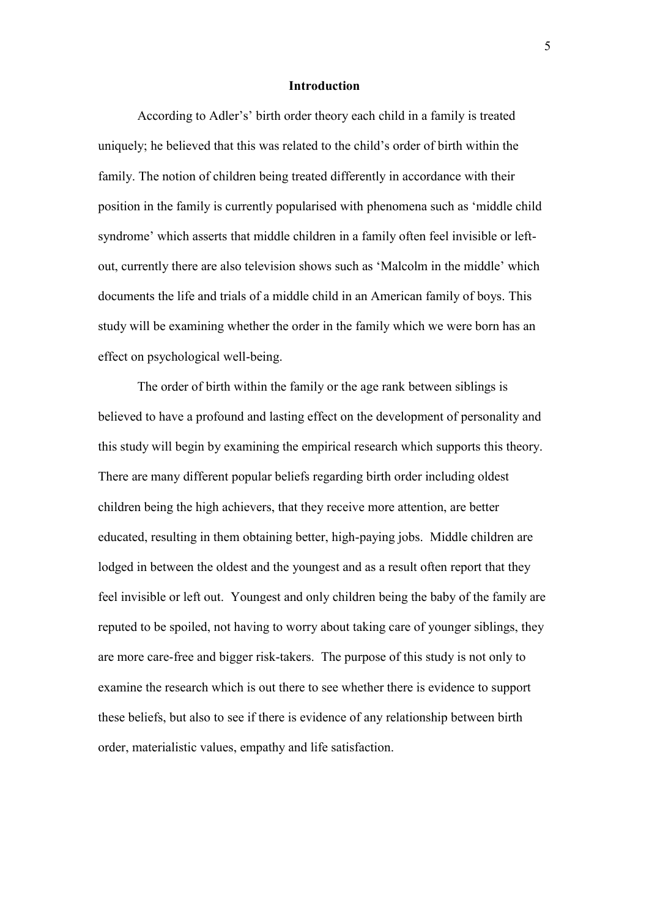#### **Introduction**

According to Adler's' birth order theory each child in a family is treated uniquely; he believed that this was related to the child's order of birth within the family. The notion of children being treated differently in accordance with their position in the family is currently popularised with phenomena such as 'middle child syndrome' which asserts that middle children in a family often feel invisible or leftout, currently there are also television shows such as 'Malcolm in the middle' which documents the life and trials of a middle child in an American family of boys. This study will be examining whether the order in the family which we were born has an effect on psychological well-being.

The order of birth within the family or the age rank between siblings is believed to have a profound and lasting effect on the development of personality and this study will begin by examining the empirical research which supports this theory. There are many different popular beliefs regarding birth order including oldest children being the high achievers, that they receive more attention, are better educated, resulting in them obtaining better, high-paying jobs. Middle children are lodged in between the oldest and the youngest and as a result often report that they feel invisible or left out. Youngest and only children being the baby of the family are reputed to be spoiled, not having to worry about taking care of younger siblings, they are more care-free and bigger risk-takers. The purpose of this study is not only to examine the research which is out there to see whether there is evidence to support these beliefs, but also to see if there is evidence of any relationship between birth order, materialistic values, empathy and life satisfaction.

5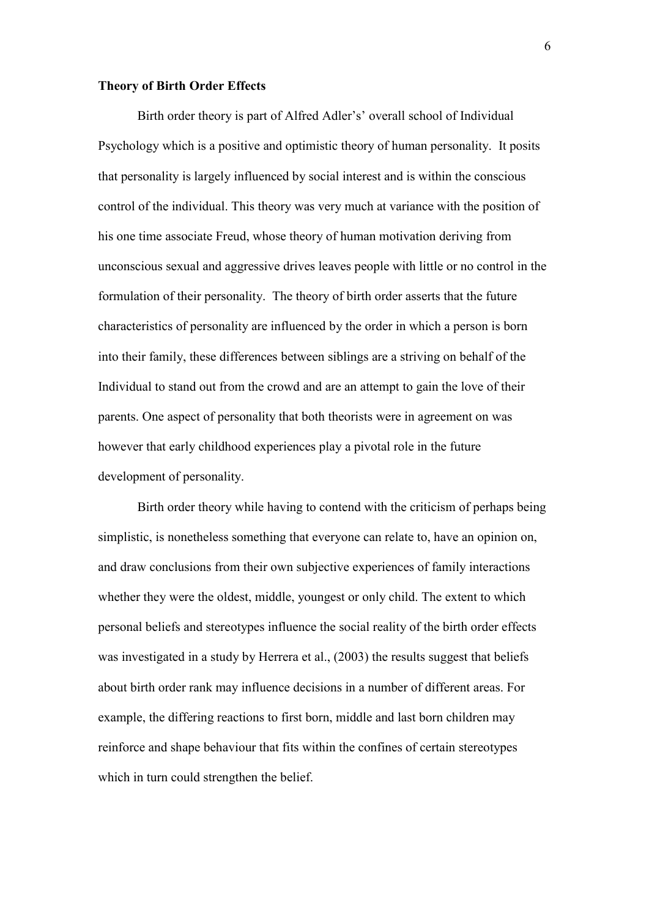#### **Theory of Birth Order Effects**

Birth order theory is part of Alfred Adler's' overall school of Individual Psychology which is a positive and optimistic theory of human personality. It posits that personality is largely influenced by social interest and is within the conscious control of the individual. This theory was very much at variance with the position of his one time associate Freud, whose theory of human motivation deriving from unconscious sexual and aggressive drives leaves people with little or no control in the formulation of their personality. The theory of birth order asserts that the future characteristics of personality are influenced by the order in which a person is born into their family, these differences between siblings are a striving on behalf of the Individual to stand out from the crowd and are an attempt to gain the love of their parents. One aspect of personality that both theorists were in agreement on was however that early childhood experiences play a pivotal role in the future development of personality.

Birth order theory while having to contend with the criticism of perhaps being simplistic, is nonetheless something that everyone can relate to, have an opinion on, and draw conclusions from their own subjective experiences of family interactions whether they were the oldest, middle, youngest or only child. The extent to which personal beliefs and stereotypes influence the social reality of the birth order effects was investigated in a study by Herrera et al., (2003) the results suggest that beliefs about birth order rank may influence decisions in a number of different areas. For example, the differing reactions to first born, middle and last born children may reinforce and shape behaviour that fits within the confines of certain stereotypes which in turn could strengthen the belief.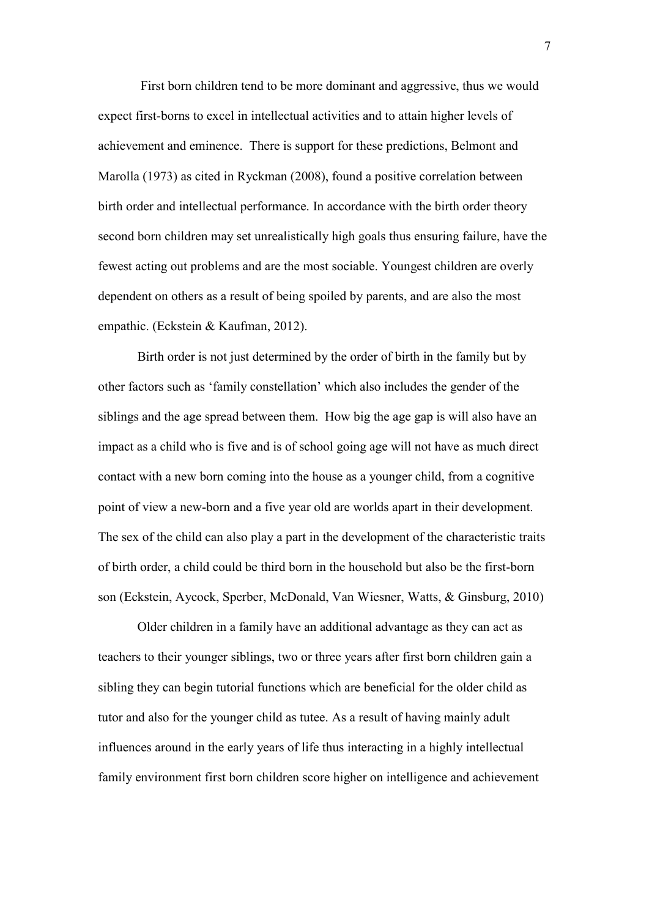First born children tend to be more dominant and aggressive, thus we would expect first-borns to excel in intellectual activities and to attain higher levels of achievement and eminence. There is support for these predictions, Belmont and Marolla (1973) as cited in Ryckman (2008), found a positive correlation between birth order and intellectual performance. In accordance with the birth order theory second born children may set unrealistically high goals thus ensuring failure, have the fewest acting out problems and are the most sociable. Youngest children are overly dependent on others as a result of being spoiled by parents, and are also the most empathic. (Eckstein & Kaufman, 2012).

Birth order is not just determined by the order of birth in the family but by other factors such as 'family constellation' which also includes the gender of the siblings and the age spread between them. How big the age gap is will also have an impact as a child who is five and is of school going age will not have as much direct contact with a new born coming into the house as a younger child, from a cognitive point of view a new-born and a five year old are worlds apart in their development. The sex of the child can also play a part in the development of the characteristic traits of birth order, a child could be third born in the household but also be the first-born son (Eckstein, Aycock, Sperber, McDonald, Van Wiesner, Watts, & Ginsburg, 2010)

Older children in a family have an additional advantage as they can act as teachers to their younger siblings, two or three years after first born children gain a sibling they can begin tutorial functions which are beneficial for the older child as tutor and also for the younger child as tutee. As a result of having mainly adult influences around in the early years of life thus interacting in a highly intellectual family environment first born children score higher on intelligence and achievement

7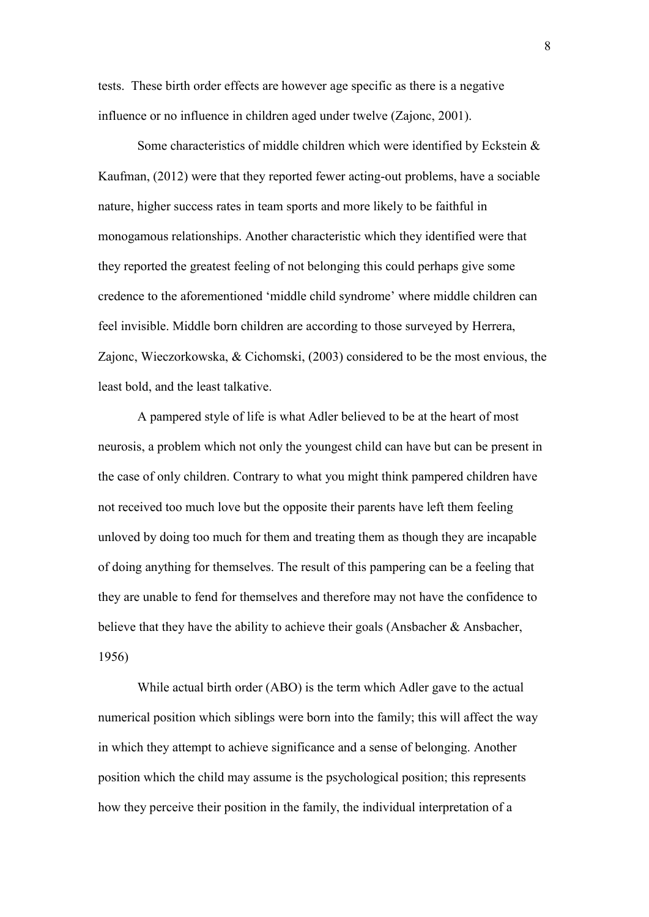tests. These birth order effects are however age specific as there is a negative influence or no influence in children aged under twelve (Zajonc, 2001).

Some characteristics of middle children which were identified by Eckstein & Kaufman, (2012) were that they reported fewer acting-out problems, have a sociable nature, higher success rates in team sports and more likely to be faithful in monogamous relationships. Another characteristic which they identified were that they reported the greatest feeling of not belonging this could perhaps give some credence to the aforementioned 'middle child syndrome' where middle children can feel invisible. Middle born children are according to those surveyed by Herrera, Zajonc, Wieczorkowska, & Cichomski, (2003) considered to be the most envious, the least bold, and the least talkative.

A pampered style of life is what Adler believed to be at the heart of most neurosis, a problem which not only the youngest child can have but can be present in the case of only children. Contrary to what you might think pampered children have not received too much love but the opposite their parents have left them feeling unloved by doing too much for them and treating them as though they are incapable of doing anything for themselves. The result of this pampering can be a feeling that they are unable to fend for themselves and therefore may not have the confidence to believe that they have the ability to achieve their goals (Ansbacher  $\&$  Ansbacher, 1956)

While actual birth order (ABO) is the term which Adler gave to the actual numerical position which siblings were born into the family; this will affect the way in which they attempt to achieve significance and a sense of belonging. Another position which the child may assume is the psychological position; this represents how they perceive their position in the family, the individual interpretation of a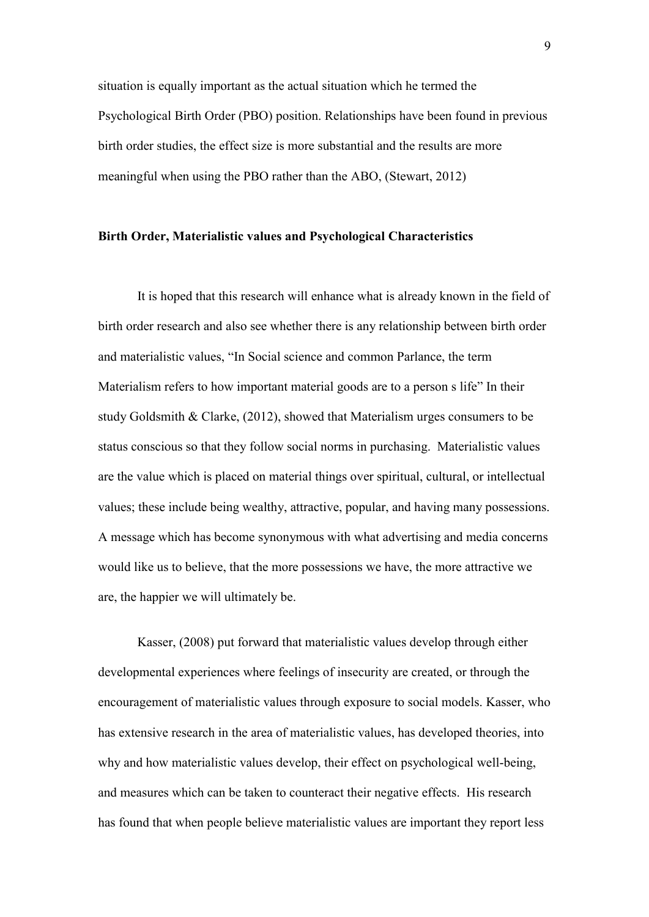situation is equally important as the actual situation which he termed the Psychological Birth Order (PBO) position. Relationships have been found in previous birth order studies, the effect size is more substantial and the results are more meaningful when using the PBO rather than the ABO, (Stewart, 2012)

## **Birth Order, Materialistic values and Psychological Characteristics**

It is hoped that this research will enhance what is already known in the field of birth order research and also see whether there is any relationship between birth order and materialistic values, "In Social science and common Parlance, the term Materialism refers to how important material goods are to a person s life" In their study Goldsmith & Clarke, (2012), showed that Materialism urges consumers to be status conscious so that they follow social norms in purchasing. Materialistic values are the value which is placed on material things over spiritual, cultural, or intellectual values; these include being wealthy, attractive, popular, and having many possessions. A message which has become synonymous with what advertising and media concerns would like us to believe, that the more possessions we have, the more attractive we are, the happier we will ultimately be.

Kasser, (2008) put forward that materialistic values develop through either developmental experiences where feelings of insecurity are created, or through the encouragement of materialistic values through exposure to social models. Kasser, who has extensive research in the area of materialistic values, has developed theories, into why and how materialistic values develop, their effect on psychological well-being, and measures which can be taken to counteract their negative effects. His research has found that when people believe materialistic values are important they report less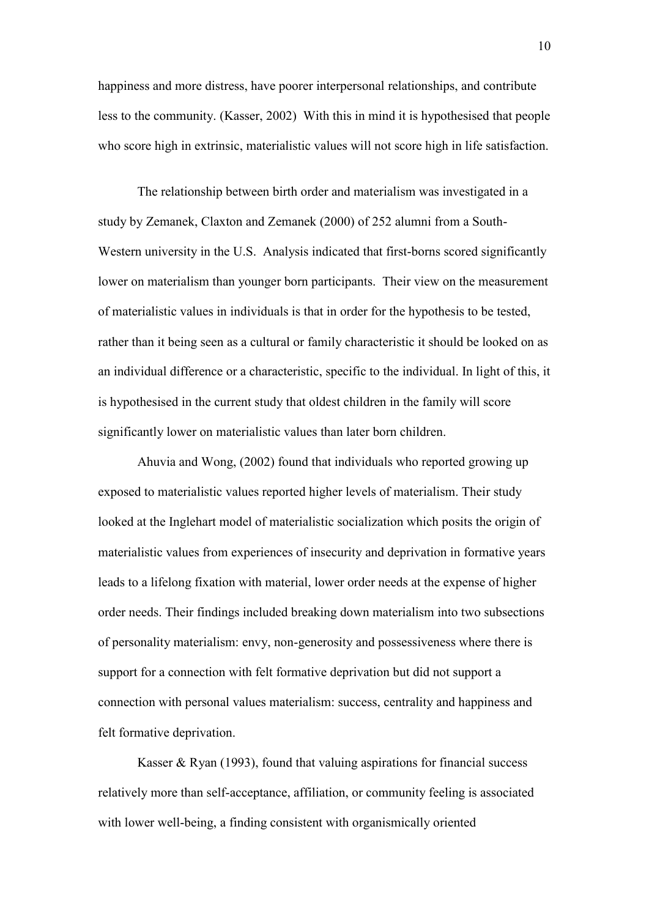happiness and more distress, have poorer interpersonal relationships, and contribute less to the community. (Kasser, 2002) With this in mind it is hypothesised that people who score high in extrinsic, materialistic values will not score high in life satisfaction.

The relationship between birth order and materialism was investigated in a study by Zemanek, Claxton and Zemanek (2000) of 252 alumni from a South-Western university in the U.S. Analysis indicated that first-borns scored significantly lower on materialism than younger born participants. Their view on the measurement of materialistic values in individuals is that in order for the hypothesis to be tested, rather than it being seen as a cultural or family characteristic it should be looked on as an individual difference or a characteristic, specific to the individual. In light of this, it is hypothesised in the current study that oldest children in the family will score significantly lower on materialistic values than later born children.

Ahuvia and Wong, (2002) found that individuals who reported growing up exposed to materialistic values reported higher levels of materialism. Their study looked at the Inglehart model of materialistic socialization which posits the origin of materialistic values from experiences of insecurity and deprivation in formative years leads to a lifelong fixation with material, lower order needs at the expense of higher order needs. Their findings included breaking down materialism into two subsections of personality materialism: envy, non-generosity and possessiveness where there is support for a connection with felt formative deprivation but did not support a connection with personal values materialism: success, centrality and happiness and felt formative deprivation.

Kasser  $\&$  Ryan (1993), found that valuing aspirations for financial success relatively more than self-acceptance, affiliation, or community feeling is associated with lower well-being, a finding consistent with organismically oriented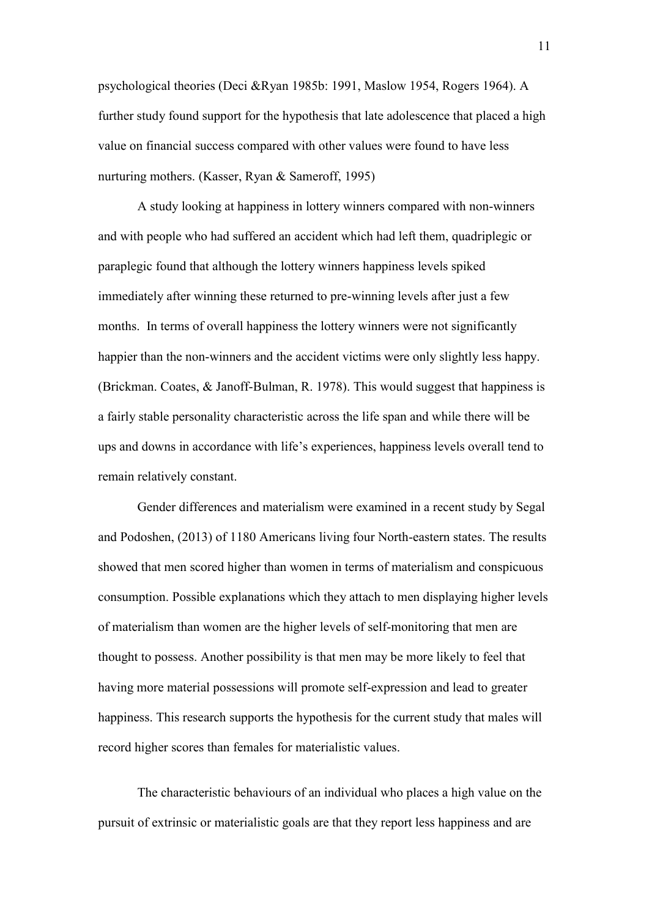psychological theories (Deci &Ryan 1985b: 1991, Maslow 1954, Rogers 1964). A further study found support for the hypothesis that late adolescence that placed a high value on financial success compared with other values were found to have less nurturing mothers. (Kasser, Ryan & Sameroff, 1995)

A study looking at happiness in lottery winners compared with non-winners and with people who had suffered an accident which had left them, quadriplegic or paraplegic found that although the lottery winners happiness levels spiked immediately after winning these returned to pre-winning levels after just a few months. In terms of overall happiness the lottery winners were not significantly happier than the non-winners and the accident victims were only slightly less happy. (Brickman. Coates, & Janoff-Bulman, R. 1978). This would suggest that happiness is a fairly stable personality characteristic across the life span and while there will be ups and downs in accordance with life's experiences, happiness levels overall tend to remain relatively constant.

Gender differences and materialism were examined in a recent study by Segal and Podoshen, (2013) of 1180 Americans living four North-eastern states. The results showed that men scored higher than women in terms of materialism and conspicuous consumption. Possible explanations which they attach to men displaying higher levels of materialism than women are the higher levels of self-monitoring that men are thought to possess. Another possibility is that men may be more likely to feel that having more material possessions will promote self-expression and lead to greater happiness. This research supports the hypothesis for the current study that males will record higher scores than females for materialistic values.

The characteristic behaviours of an individual who places a high value on the pursuit of extrinsic or materialistic goals are that they report less happiness and are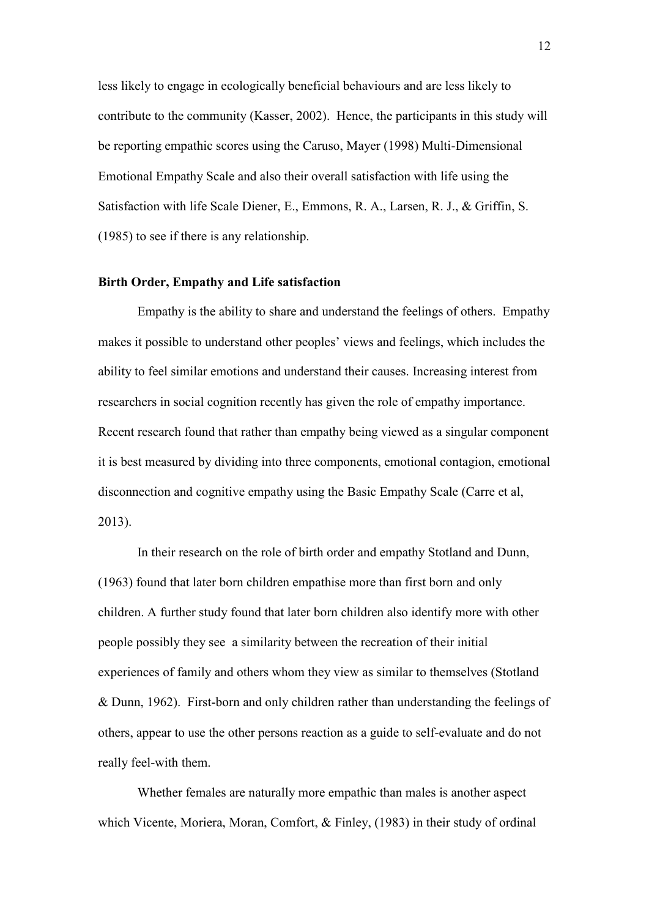less likely to engage in ecologically beneficial behaviours and are less likely to contribute to the community (Kasser, 2002). Hence, the participants in this study will be reporting empathic scores using the Caruso, Mayer (1998) Multi-Dimensional Emotional Empathy Scale and also their overall satisfaction with life using the Satisfaction with life Scale Diener, E., Emmons, R. A., Larsen, R. J., & Griffin, S. (1985) to see if there is any relationship.

#### **Birth Order, Empathy and Life satisfaction**

Empathy is the ability to share and understand the feelings of others. Empathy makes it possible to understand other peoples' views and feelings, which includes the ability to feel similar emotions and understand their causes. Increasing interest from researchers in social cognition recently has given the role of empathy importance. Recent research found that rather than empathy being viewed as a singular component it is best measured by dividing into three components, emotional contagion, emotional disconnection and cognitive empathy using the Basic Empathy Scale (Carre et al, 2013).

In their research on the role of birth order and empathy Stotland and Dunn, (1963) found that later born children empathise more than first born and only children. A further study found that later born children also identify more with other people possibly they see a similarity between the recreation of their initial experiences of family and others whom they view as similar to themselves (Stotland & Dunn, 1962). First-born and only children rather than understanding the feelings of others, appear to use the other persons reaction as a guide to self-evaluate and do not really feel-with them.

Whether females are naturally more empathic than males is another aspect which Vicente, Moriera, Moran, Comfort, & Finley, (1983) in their study of ordinal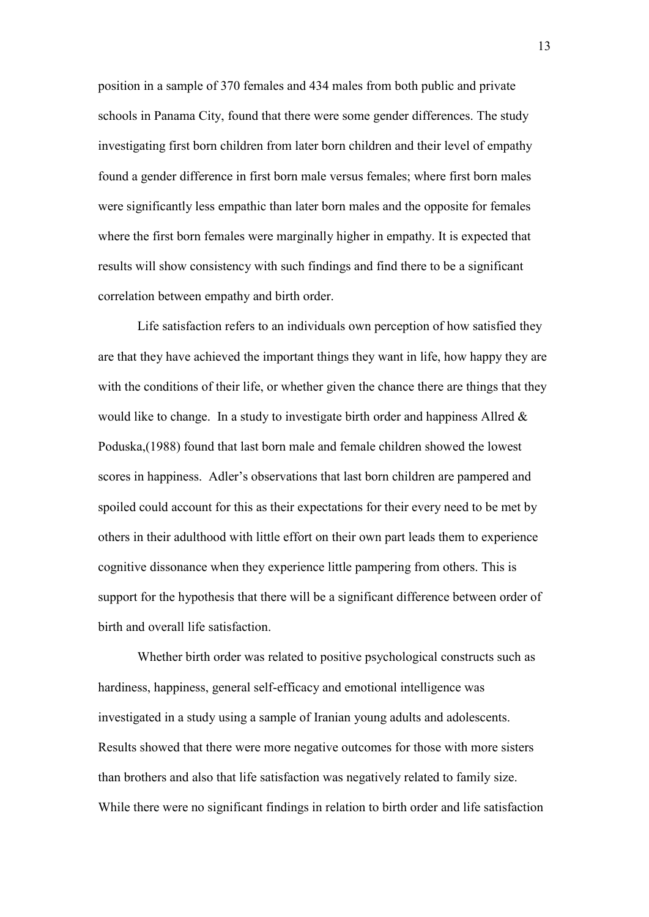position in a sample of 370 females and 434 males from both public and private schools in Panama City, found that there were some gender differences. The study investigating first born children from later born children and their level of empathy found a gender difference in first born male versus females; where first born males were significantly less empathic than later born males and the opposite for females where the first born females were marginally higher in empathy. It is expected that results will show consistency with such findings and find there to be a significant correlation between empathy and birth order.

Life satisfaction refers to an individuals own perception of how satisfied they are that they have achieved the important things they want in life, how happy they are with the conditions of their life, or whether given the chance there are things that they would like to change. In a study to investigate birth order and happiness Allred  $\&$ Poduska,(1988) found that last born male and female children showed the lowest scores in happiness. Adler's observations that last born children are pampered and spoiled could account for this as their expectations for their every need to be met by others in their adulthood with little effort on their own part leads them to experience cognitive dissonance when they experience little pampering from others. This is support for the hypothesis that there will be a significant difference between order of birth and overall life satisfaction.

Whether birth order was related to positive psychological constructs such as hardiness, happiness, general self-efficacy and emotional intelligence was investigated in a study using a sample of Iranian young adults and adolescents. Results showed that there were more negative outcomes for those with more sisters than brothers and also that life satisfaction was negatively related to family size. While there were no significant findings in relation to birth order and life satisfaction

13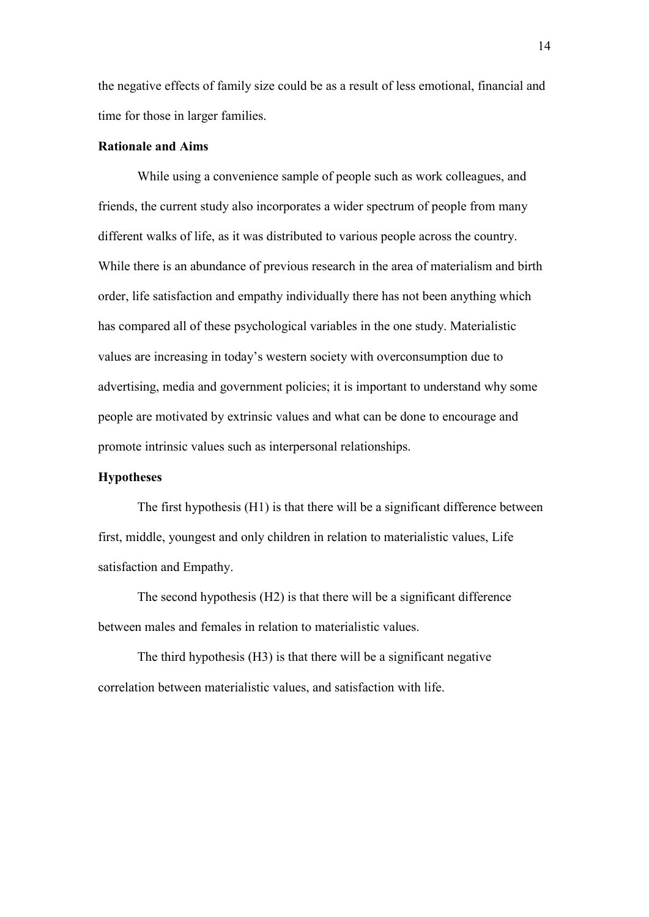the negative effects of family size could be as a result of less emotional, financial and time for those in larger families.

#### **Rationale and Aims**

While using a convenience sample of people such as work colleagues, and friends, the current study also incorporates a wider spectrum of people from many different walks of life, as it was distributed to various people across the country. While there is an abundance of previous research in the area of materialism and birth order, life satisfaction and empathy individually there has not been anything which has compared all of these psychological variables in the one study. Materialistic values are increasing in today's western society with overconsumption due to advertising, media and government policies; it is important to understand why some people are motivated by extrinsic values and what can be done to encourage and promote intrinsic values such as interpersonal relationships.

## **Hypotheses**

The first hypothesis (H1) is that there will be a significant difference between first, middle, youngest and only children in relation to materialistic values, Life satisfaction and Empathy.

The second hypothesis (H2) is that there will be a significant difference between males and females in relation to materialistic values.

The third hypothesis (H3) is that there will be a significant negative correlation between materialistic values, and satisfaction with life.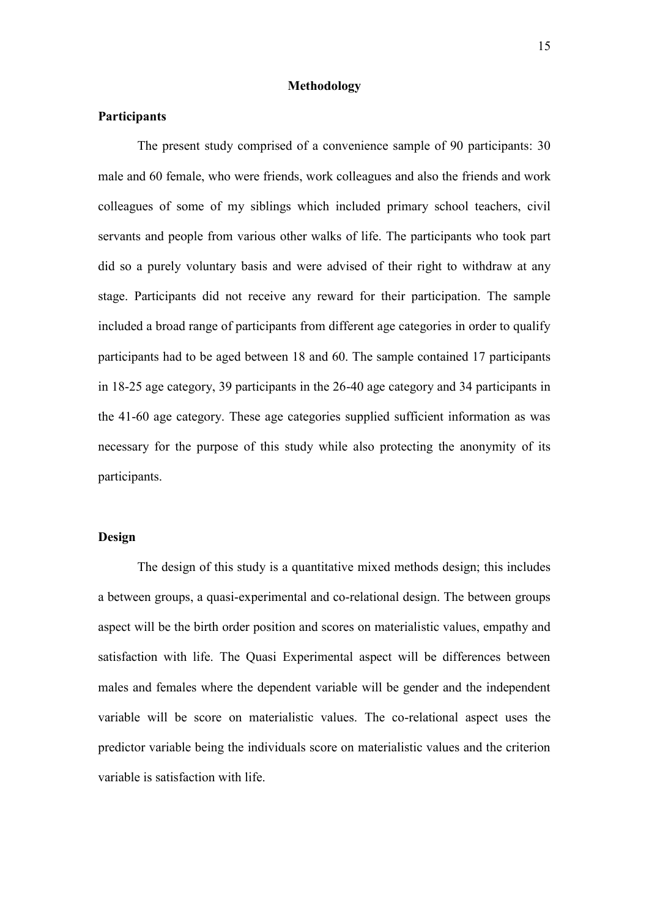### **Methodology**

### **Participants**

The present study comprised of a convenience sample of 90 participants: 30 male and 60 female, who were friends, work colleagues and also the friends and work colleagues of some of my siblings which included primary school teachers, civil servants and people from various other walks of life. The participants who took part did so a purely voluntary basis and were advised of their right to withdraw at any stage. Participants did not receive any reward for their participation. The sample included a broad range of participants from different age categories in order to qualify participants had to be aged between 18 and 60. The sample contained 17 participants in 18-25 age category, 39 participants in the 26-40 age category and 34 participants in the 41-60 age category. These age categories supplied sufficient information as was necessary for the purpose of this study while also protecting the anonymity of its participants.

### **Design**

The design of this study is a quantitative mixed methods design; this includes a between groups, a quasi-experimental and co-relational design. The between groups aspect will be the birth order position and scores on materialistic values, empathy and satisfaction with life. The Quasi Experimental aspect will be differences between males and females where the dependent variable will be gender and the independent variable will be score on materialistic values. The co-relational aspect uses the predictor variable being the individuals score on materialistic values and the criterion variable is satisfaction with life.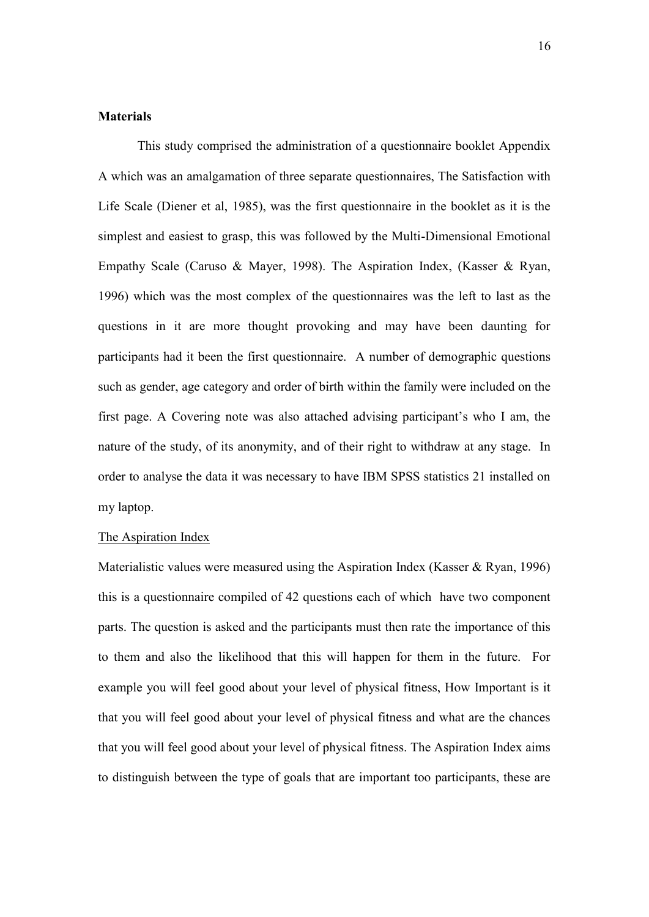# **Materials**

This study comprised the administration of a questionnaire booklet Appendix A which was an amalgamation of three separate questionnaires, The Satisfaction with Life Scale (Diener et al, 1985), was the first questionnaire in the booklet as it is the simplest and easiest to grasp, this was followed by the Multi-Dimensional Emotional Empathy Scale (Caruso & Mayer, 1998). The Aspiration Index, (Kasser & Ryan, 1996) which was the most complex of the questionnaires was the left to last as the questions in it are more thought provoking and may have been daunting for participants had it been the first questionnaire. A number of demographic questions such as gender, age category and order of birth within the family were included on the first page. A Covering note was also attached advising participant's who I am, the nature of the study, of its anonymity, and of their right to withdraw at any stage. In order to analyse the data it was necessary to have IBM SPSS statistics 21 installed on my laptop.

#### The Aspiration Index

Materialistic values were measured using the Aspiration Index (Kasser & Ryan, 1996) this is a questionnaire compiled of 42 questions each of which have two component parts. The question is asked and the participants must then rate the importance of this to them and also the likelihood that this will happen for them in the future. For example you will feel good about your level of physical fitness, How Important is it that you will feel good about your level of physical fitness and what are the chances that you will feel good about your level of physical fitness. The Aspiration Index aims to distinguish between the type of goals that are important too participants, these are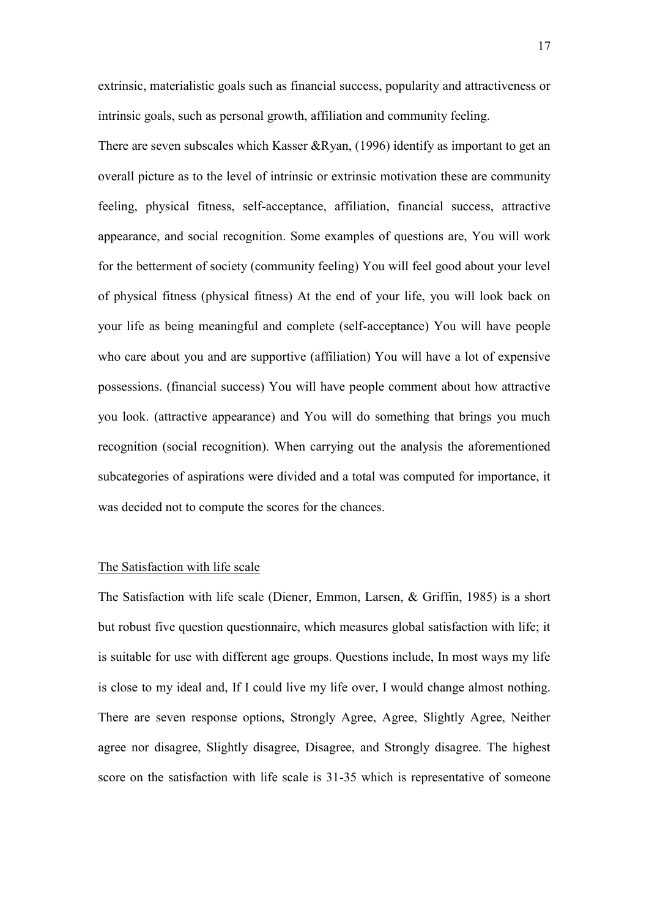extrinsic, materialistic goals such as financial success, popularity and attractiveness or intrinsic goals, such as personal growth, affiliation and community feeling.

There are seven subscales which Kasser &Ryan, (1996) identify as important to get an overall picture as to the level of intrinsic or extrinsic motivation these are community feeling, physical fitness, self-acceptance, affiliation, financial success, attractive appearance, and social recognition. Some examples of questions are, You will work for the betterment of society (community feeling) You will feel good about your level of physical fitness (physical fitness) At the end of your life, you will look back on your life as being meaningful and complete (self-acceptance) You will have people who care about you and are supportive (affiliation) You will have a lot of expensive possessions. (financial success) You will have people comment about how attractive you look. (attractive appearance) and You will do something that brings you much recognition (social recognition). When carrying out the analysis the aforementioned subcategories of aspirations were divided and a total was computed for importance, it was decided not to compute the scores for the chances.

## The Satisfaction with life scale

The Satisfaction with life scale (Diener, Emmon, Larsen, & Griffin, 1985) is a short but robust five question questionnaire, which measures global satisfaction with life; it is suitable for use with different age groups. Questions include, In most ways my life is close to my ideal and, If I could live my life over, I would change almost nothing. There are seven response options, Strongly Agree, Agree, Slightly Agree, Neither agree nor disagree, Slightly disagree, Disagree, and Strongly disagree. The highest score on the satisfaction with life scale is 31-35 which is representative of someone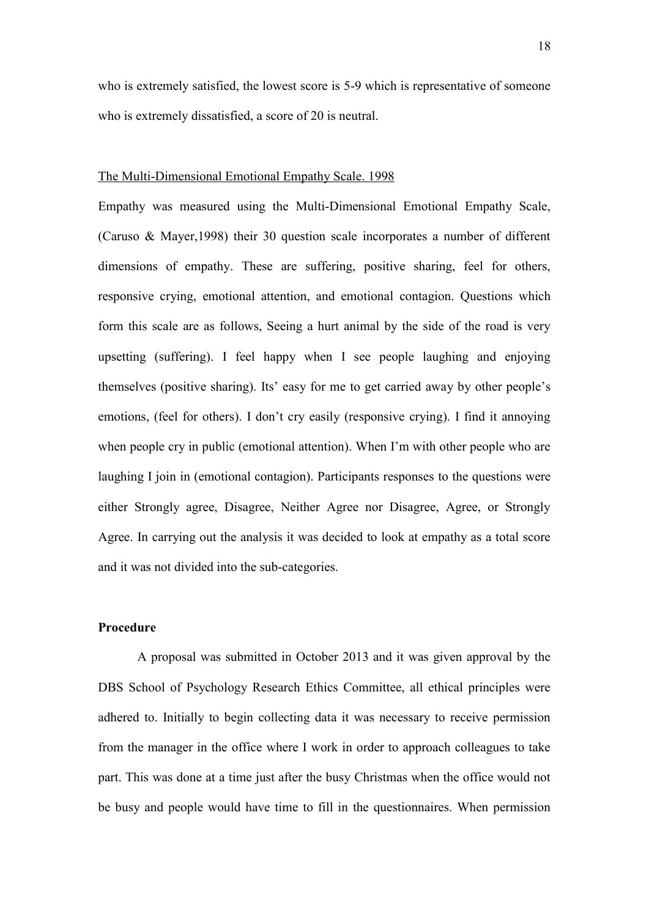who is extremely satisfied, the lowest score is 5-9 which is representative of someone who is extremely dissatisfied, a score of 20 is neutral.

#### The Multi-Dimensional Emotional Empathy Scale. 1998

Empathy was measured using the Multi-Dimensional Emotional Empathy Scale, (Caruso & Mayer,1998) their 30 question scale incorporates a number of different dimensions of empathy. These are suffering, positive sharing, feel for others, responsive crying, emotional attention, and emotional contagion. Questions which form this scale are as follows, Seeing a hurt animal by the side of the road is very upsetting (suffering). I feel happy when I see people laughing and enjoying themselves (positive sharing). Its' easy for me to get carried away by other people's emotions, (feel for others). I don't cry easily (responsive crying). I find it annoying when people cry in public (emotional attention). When I'm with other people who are laughing I join in (emotional contagion). Participants responses to the questions were either Strongly agree, Disagree, Neither Agree nor Disagree, Agree, or Strongly Agree. In carrying out the analysis it was decided to look at empathy as a total score and it was not divided into the sub-categories.

# **Procedure**

A proposal was submitted in October 2013 and it was given approval by the DBS School of Psychology Research Ethics Committee, all ethical principles were adhered to. Initially to begin collecting data it was necessary to receive permission from the manager in the office where I work in order to approach colleagues to take part. This was done at a time just after the busy Christmas when the office would not be busy and people would have time to fill in the questionnaires. When permission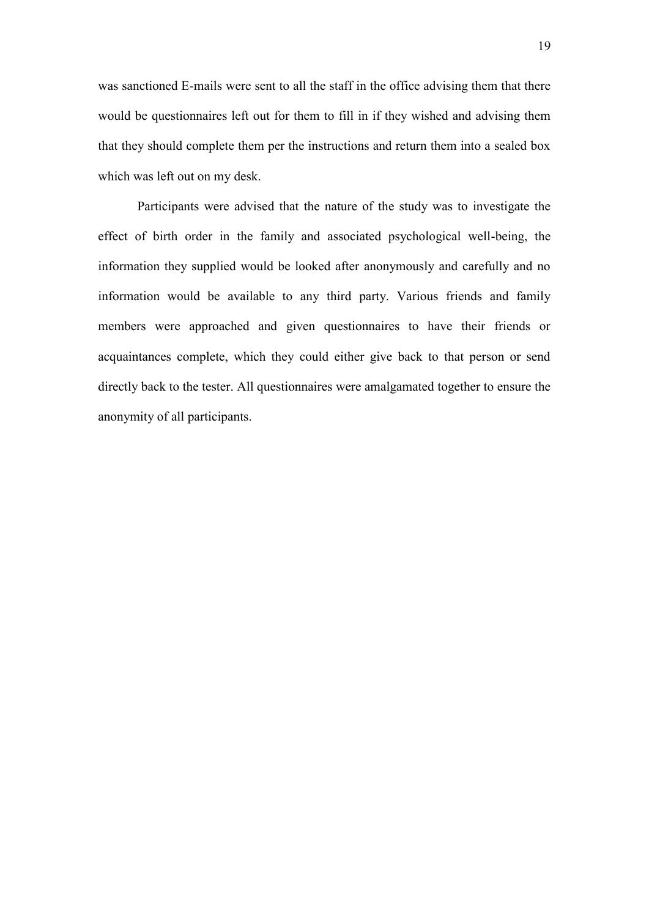was sanctioned E-mails were sent to all the staff in the office advising them that there would be questionnaires left out for them to fill in if they wished and advising them that they should complete them per the instructions and return them into a sealed box which was left out on my desk.

Participants were advised that the nature of the study was to investigate the effect of birth order in the family and associated psychological well-being, the information they supplied would be looked after anonymously and carefully and no information would be available to any third party. Various friends and family members were approached and given questionnaires to have their friends or acquaintances complete, which they could either give back to that person or send directly back to the tester. All questionnaires were amalgamated together to ensure the anonymity of all participants.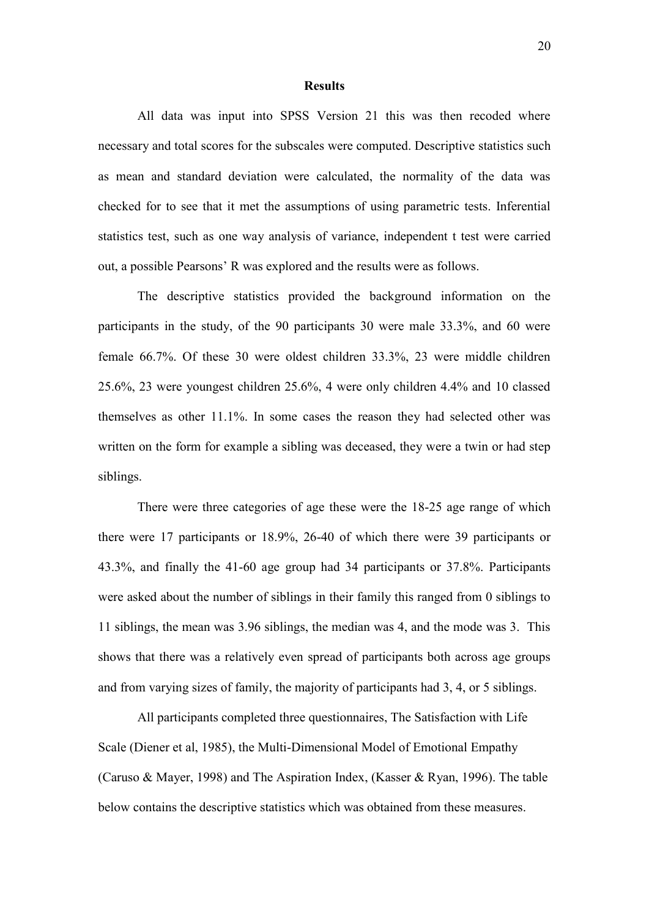#### **Results**

All data was input into SPSS Version 21 this was then recoded where necessary and total scores for the subscales were computed. Descriptive statistics such as mean and standard deviation were calculated, the normality of the data was checked for to see that it met the assumptions of using parametric tests. Inferential statistics test, such as one way analysis of variance, independent t test were carried out, a possible Pearsons' R was explored and the results were as follows.

The descriptive statistics provided the background information on the participants in the study, of the 90 participants 30 were male 33.3%, and 60 were female 66.7%. Of these 30 were oldest children 33.3%, 23 were middle children 25.6%, 23 were youngest children 25.6%, 4 were only children 4.4% and 10 classed themselves as other 11.1%. In some cases the reason they had selected other was written on the form for example a sibling was deceased, they were a twin or had step siblings.

There were three categories of age these were the 18-25 age range of which there were 17 participants or 18.9%, 26-40 of which there were 39 participants or 43.3%, and finally the 41-60 age group had 34 participants or 37.8%. Participants were asked about the number of siblings in their family this ranged from 0 siblings to 11 siblings, the mean was 3.96 siblings, the median was 4, and the mode was 3. This shows that there was a relatively even spread of participants both across age groups and from varying sizes of family, the majority of participants had 3, 4, or 5 siblings.

All participants completed three questionnaires, The Satisfaction with Life Scale (Diener et al, 1985), the Multi-Dimensional Model of Emotional Empathy (Caruso & Mayer, 1998) and The Aspiration Index, (Kasser & Ryan, 1996). The table below contains the descriptive statistics which was obtained from these measures.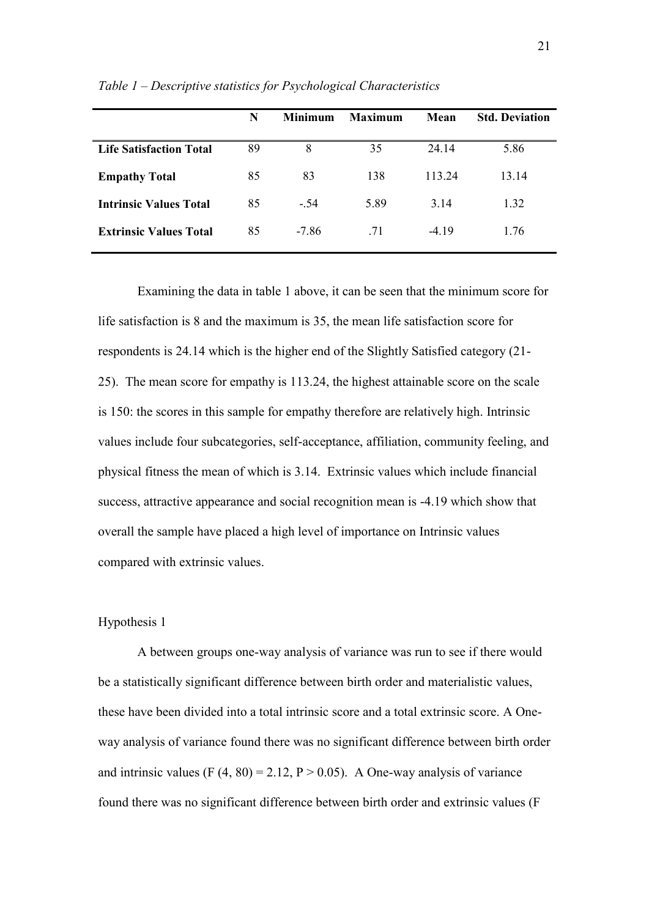|                                | N  | <b>Minimum</b> | <b>Maximum</b> | Mean    | <b>Std. Deviation</b> |
|--------------------------------|----|----------------|----------------|---------|-----------------------|
| <b>Life Satisfaction Total</b> | 89 | 8              | 35             | 24.14   | 5.86                  |
| <b>Empathy Total</b>           | 85 | 83             | 138            | 113.24  | 13.14                 |
| <b>Intrinsic Values Total</b>  | 85 | $-54$          | 5.89           | 3.14    | 1.32                  |
| <b>Extrinsic Values Total</b>  | 85 | $-7.86$        | .71            | $-4.19$ | 1.76                  |

*Table 1 – Descriptive statistics for Psychological Characteristics*

Examining the data in table 1 above, it can be seen that the minimum score for life satisfaction is 8 and the maximum is 35, the mean life satisfaction score for respondents is 24.14 which is the higher end of the Slightly Satisfied category (21- 25). The mean score for empathy is 113.24, the highest attainable score on the scale is 150: the scores in this sample for empathy therefore are relatively high. Intrinsic values include four subcategories, self-acceptance, affiliation, community feeling, and physical fitness the mean of which is 3.14. Extrinsic values which include financial success, attractive appearance and social recognition mean is -4.19 which show that overall the sample have placed a high level of importance on Intrinsic values compared with extrinsic values.

## Hypothesis 1

A between groups one-way analysis of variance was run to see if there would be a statistically significant difference between birth order and materialistic values, these have been divided into a total intrinsic score and a total extrinsic score. A Oneway analysis of variance found there was no significant difference between birth order and intrinsic values (F  $(4, 80) = 2.12$ , P  $> 0.05$ ). A One-way analysis of variance found there was no significant difference between birth order and extrinsic values (F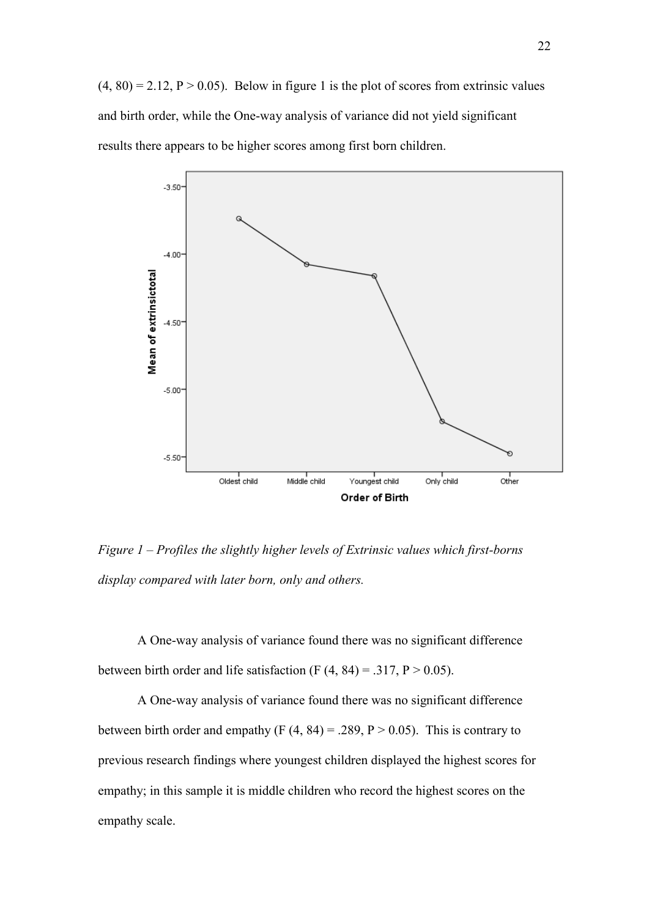$(4, 80) = 2.12$ ,  $P > 0.05$ ). Below in figure 1 is the plot of scores from extrinsic values and birth order, while the One-way analysis of variance did not yield significant results there appears to be higher scores among first born children.



*Figure 1 – Profiles the slightly higher levels of Extrinsic values which first-borns display compared with later born, only and others.* 

A One-way analysis of variance found there was no significant difference between birth order and life satisfaction (F  $(4, 84) = .317$ , P  $> 0.05$ ).

A One-way analysis of variance found there was no significant difference between birth order and empathy (F  $(4, 84) = .289$ , P  $> 0.05$ ). This is contrary to previous research findings where youngest children displayed the highest scores for empathy; in this sample it is middle children who record the highest scores on the empathy scale.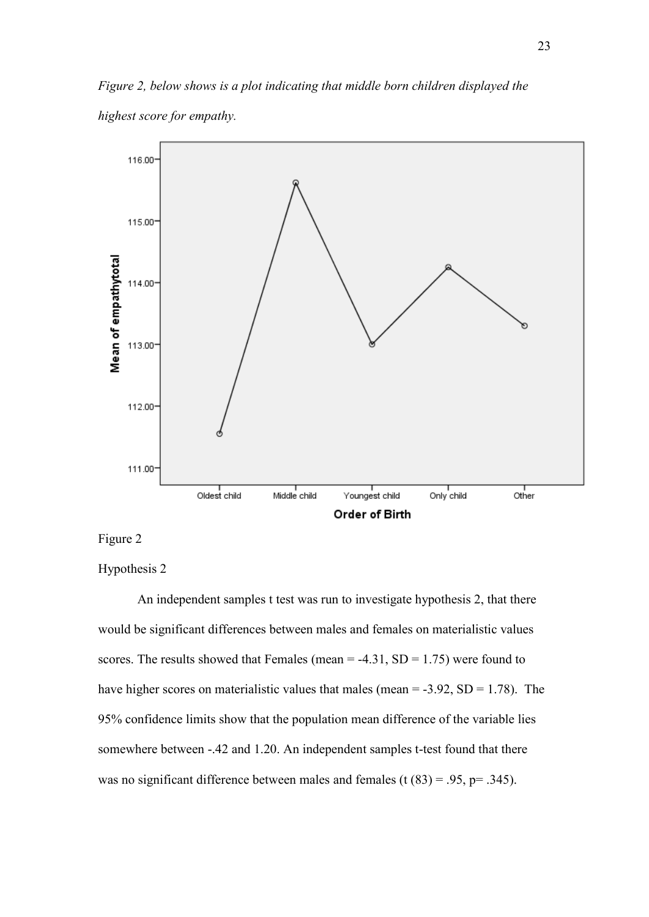*Figure 2, below shows is a plot indicating that middle born children displayed the highest score for empathy.*



Figure 2

Hypothesis 2

An independent samples t test was run to investigate hypothesis 2, that there would be significant differences between males and females on materialistic values scores. The results showed that Females (mean  $=$  -4.31, SD  $=$  1.75) were found to have higher scores on materialistic values that males (mean  $= -3.92$ , SD  $= 1.78$ ). The 95% confidence limits show that the population mean difference of the variable lies somewhere between -.42 and 1.20. An independent samples t-test found that there was no significant difference between males and females (t  $(83) = .95$ , p= .345).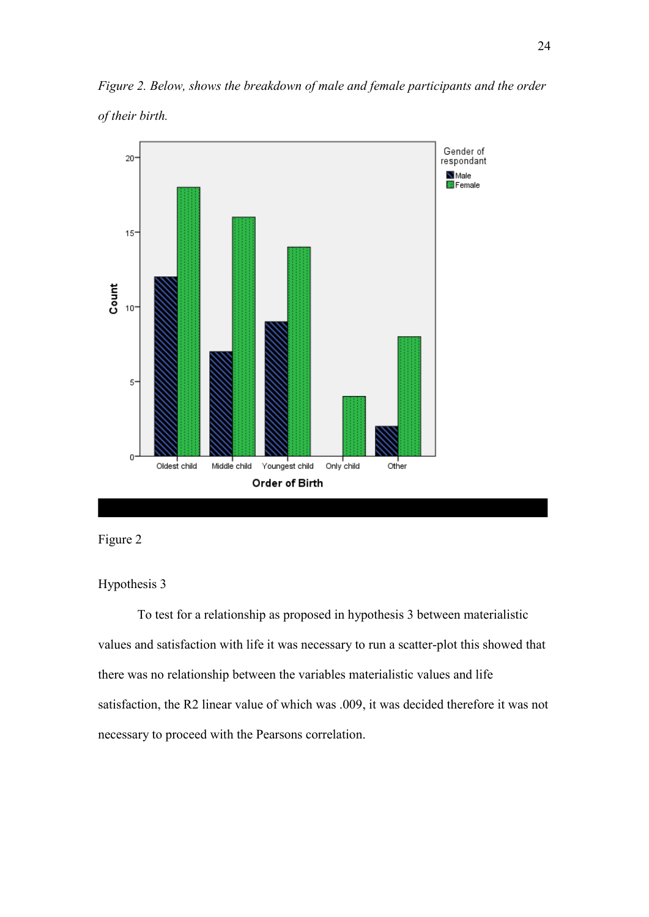*Figure 2. Below, shows the breakdown of male and female participants and the order of their birth.* 





## Hypothesis 3

To test for a relationship as proposed in hypothesis 3 between materialistic values and satisfaction with life it was necessary to run a scatter-plot this showed that there was no relationship between the variables materialistic values and life satisfaction, the R2 linear value of which was .009, it was decided therefore it was not necessary to proceed with the Pearsons correlation.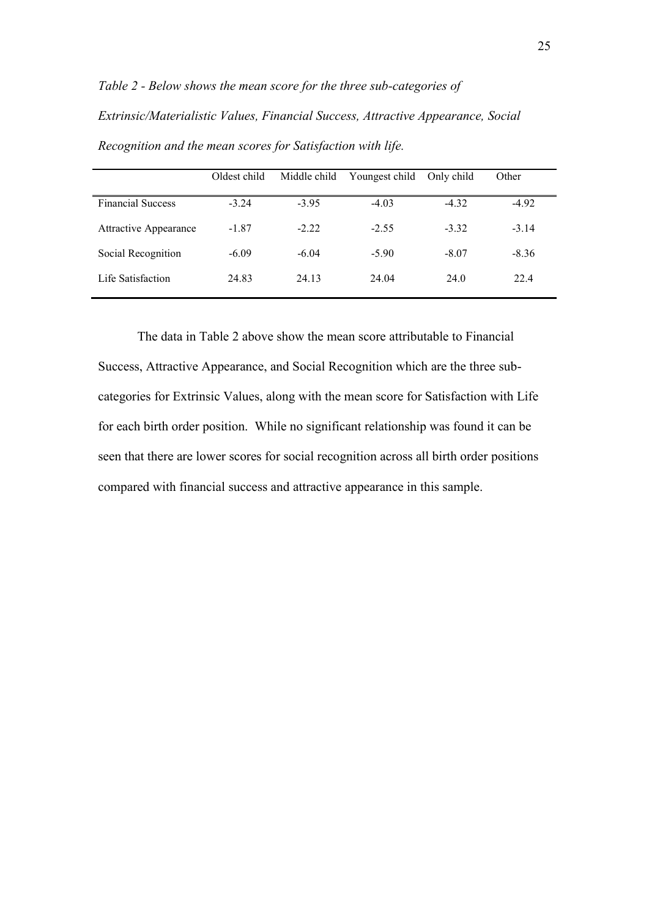*Table 2 - Below shows the mean score for the three sub-categories of Extrinsic/Materialistic Values, Financial Success, Attractive Appearance, Social Recognition and the mean scores for Satisfaction with life.* 

|                              | Oldest child | Middle child | Youngest child | Only child | Other   |
|------------------------------|--------------|--------------|----------------|------------|---------|
| <b>Financial Success</b>     | $-3.24$      | $-3.95$      | $-4.03$        | $-4.32$    | $-4.92$ |
| <b>Attractive Appearance</b> | $-1.87$      | $-2.22$      | $-2.55$        | $-3.32$    | $-3.14$ |
| Social Recognition           | $-6.09$      | $-6.04$      | $-5.90$        | $-8.07$    | $-8.36$ |
| Life Satisfaction            | 24.83        | 24.13        | 24.04          | 24.0       | 22.4    |

The data in Table 2 above show the mean score attributable to Financial Success, Attractive Appearance, and Social Recognition which are the three subcategories for Extrinsic Values, along with the mean score for Satisfaction with Life for each birth order position. While no significant relationship was found it can be seen that there are lower scores for social recognition across all birth order positions compared with financial success and attractive appearance in this sample.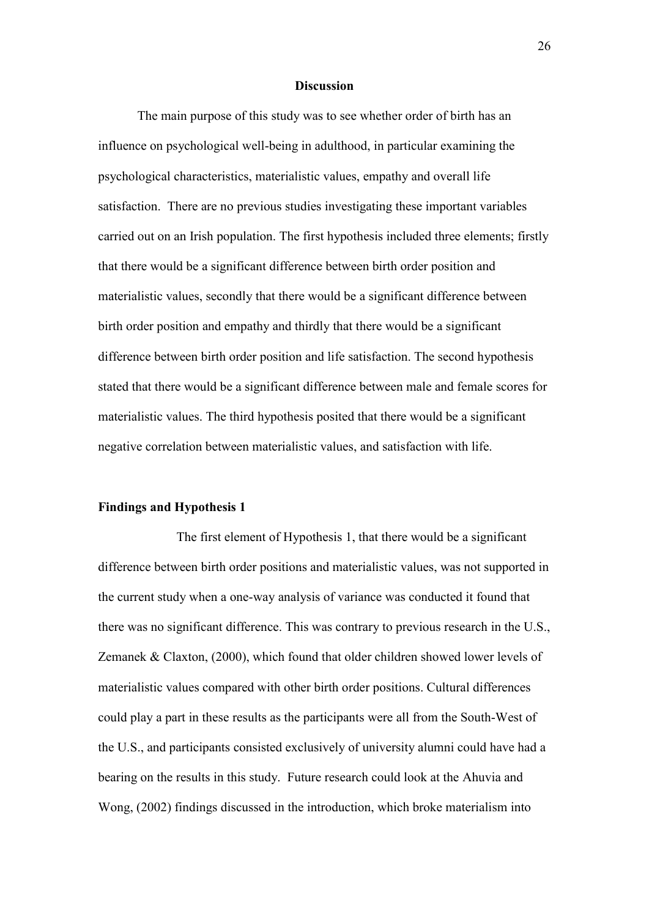#### **Discussion**

The main purpose of this study was to see whether order of birth has an influence on psychological well-being in adulthood, in particular examining the psychological characteristics, materialistic values, empathy and overall life satisfaction. There are no previous studies investigating these important variables carried out on an Irish population. The first hypothesis included three elements; firstly that there would be a significant difference between birth order position and materialistic values, secondly that there would be a significant difference between birth order position and empathy and thirdly that there would be a significant difference between birth order position and life satisfaction. The second hypothesis stated that there would be a significant difference between male and female scores for materialistic values. The third hypothesis posited that there would be a significant negative correlation between materialistic values, and satisfaction with life.

#### **Findings and Hypothesis 1**

 The first element of Hypothesis 1, that there would be a significant difference between birth order positions and materialistic values, was not supported in the current study when a one-way analysis of variance was conducted it found that there was no significant difference. This was contrary to previous research in the U.S., Zemanek & Claxton, (2000), which found that older children showed lower levels of materialistic values compared with other birth order positions. Cultural differences could play a part in these results as the participants were all from the South-West of the U.S., and participants consisted exclusively of university alumni could have had a bearing on the results in this study. Future research could look at the Ahuvia and Wong, (2002) findings discussed in the introduction, which broke materialism into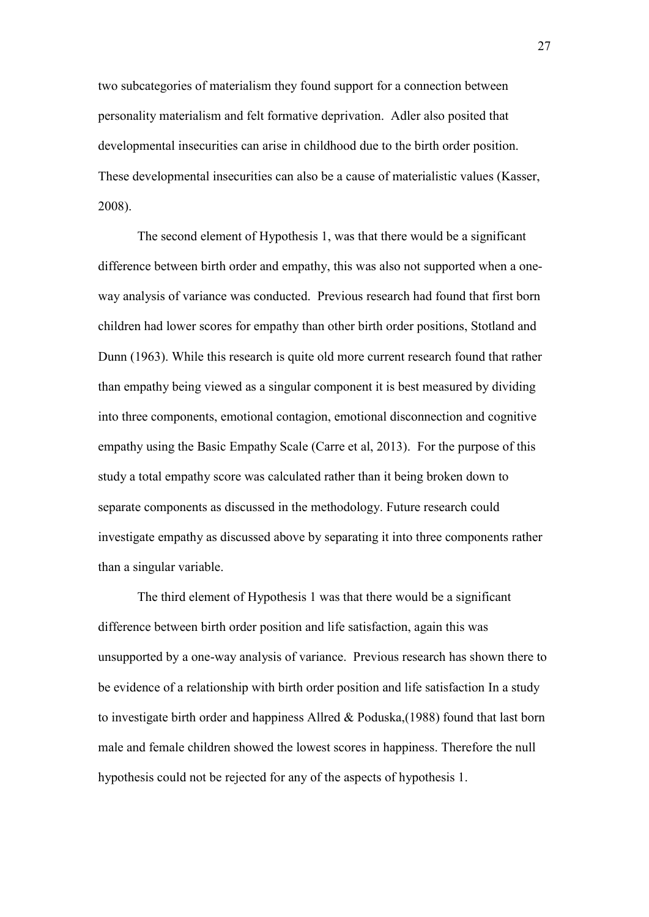two subcategories of materialism they found support for a connection between personality materialism and felt formative deprivation. Adler also posited that developmental insecurities can arise in childhood due to the birth order position. These developmental insecurities can also be a cause of materialistic values (Kasser, 2008).

The second element of Hypothesis 1, was that there would be a significant difference between birth order and empathy, this was also not supported when a oneway analysis of variance was conducted. Previous research had found that first born children had lower scores for empathy than other birth order positions, Stotland and Dunn (1963). While this research is quite old more current research found that rather than empathy being viewed as a singular component it is best measured by dividing into three components, emotional contagion, emotional disconnection and cognitive empathy using the Basic Empathy Scale (Carre et al, 2013). For the purpose of this study a total empathy score was calculated rather than it being broken down to separate components as discussed in the methodology. Future research could investigate empathy as discussed above by separating it into three components rather than a singular variable.

 The third element of Hypothesis 1 was that there would be a significant difference between birth order position and life satisfaction, again this was unsupported by a one-way analysis of variance. Previous research has shown there to be evidence of a relationship with birth order position and life satisfaction In a study to investigate birth order and happiness Allred & Poduska,(1988) found that last born male and female children showed the lowest scores in happiness. Therefore the null hypothesis could not be rejected for any of the aspects of hypothesis 1.

27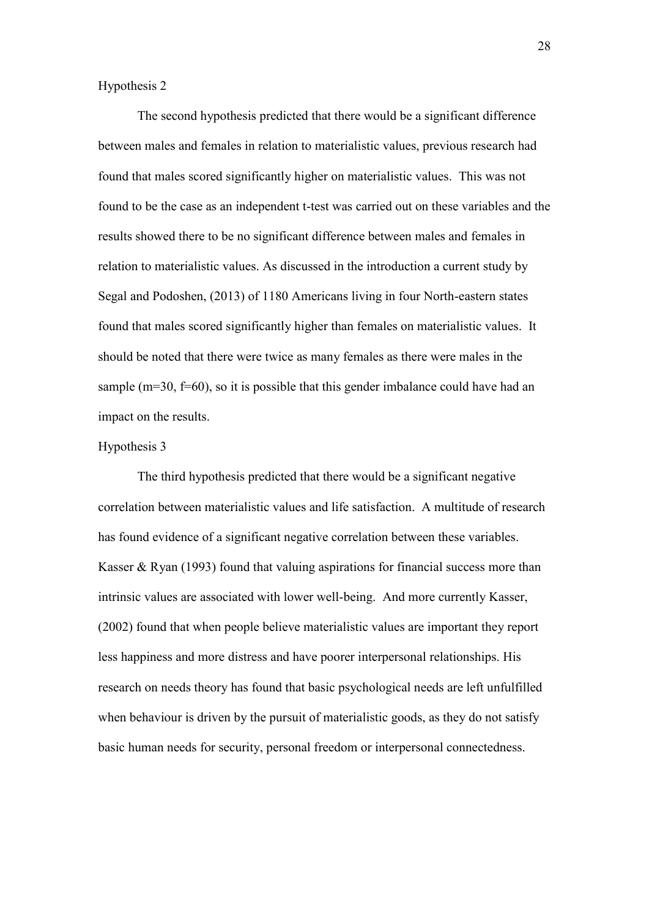Hypothesis 2

The second hypothesis predicted that there would be a significant difference between males and females in relation to materialistic values, previous research had found that males scored significantly higher on materialistic values. This was not found to be the case as an independent t-test was carried out on these variables and the results showed there to be no significant difference between males and females in relation to materialistic values. As discussed in the introduction a current study by Segal and Podoshen, (2013) of 1180 Americans living in four North-eastern states found that males scored significantly higher than females on materialistic values. It should be noted that there were twice as many females as there were males in the sample (m=30, f=60), so it is possible that this gender imbalance could have had an impact on the results.

## Hypothesis 3

The third hypothesis predicted that there would be a significant negative correlation between materialistic values and life satisfaction. A multitude of research has found evidence of a significant negative correlation between these variables. Kasser & Ryan (1993) found that valuing aspirations for financial success more than intrinsic values are associated with lower well-being. And more currently Kasser, (2002) found that when people believe materialistic values are important they report less happiness and more distress and have poorer interpersonal relationships. His research on needs theory has found that basic psychological needs are left unfulfilled when behaviour is driven by the pursuit of materialistic goods, as they do not satisfy basic human needs for security, personal freedom or interpersonal connectedness.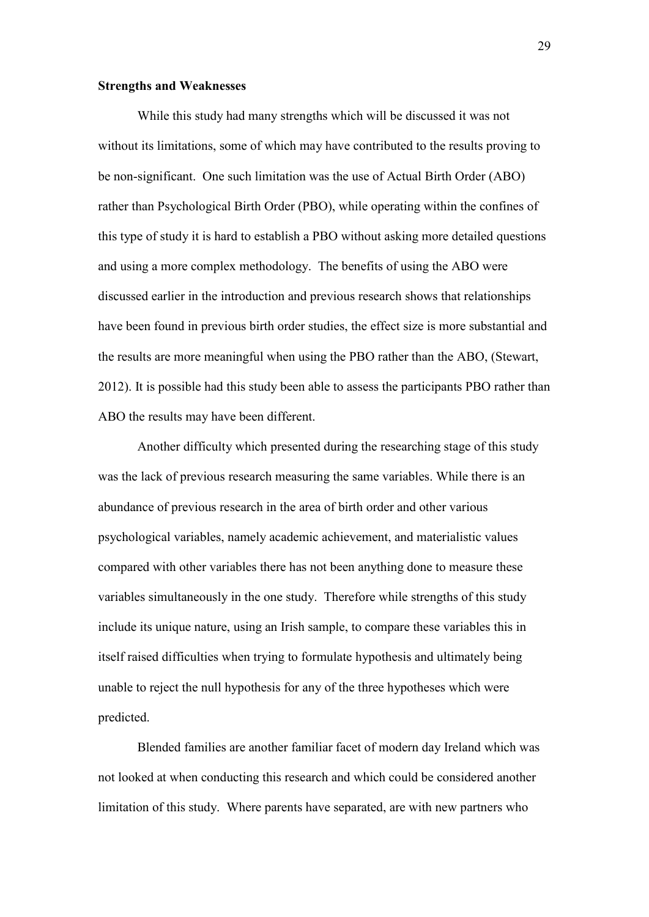#### **Strengths and Weaknesses**

While this study had many strengths which will be discussed it was not without its limitations, some of which may have contributed to the results proving to be non-significant. One such limitation was the use of Actual Birth Order (ABO) rather than Psychological Birth Order (PBO), while operating within the confines of this type of study it is hard to establish a PBO without asking more detailed questions and using a more complex methodology. The benefits of using the ABO were discussed earlier in the introduction and previous research shows that relationships have been found in previous birth order studies, the effect size is more substantial and the results are more meaningful when using the PBO rather than the ABO, (Stewart, 2012). It is possible had this study been able to assess the participants PBO rather than ABO the results may have been different.

Another difficulty which presented during the researching stage of this study was the lack of previous research measuring the same variables. While there is an abundance of previous research in the area of birth order and other various psychological variables, namely academic achievement, and materialistic values compared with other variables there has not been anything done to measure these variables simultaneously in the one study. Therefore while strengths of this study include its unique nature, using an Irish sample, to compare these variables this in itself raised difficulties when trying to formulate hypothesis and ultimately being unable to reject the null hypothesis for any of the three hypotheses which were predicted.

Blended families are another familiar facet of modern day Ireland which was not looked at when conducting this research and which could be considered another limitation of this study. Where parents have separated, are with new partners who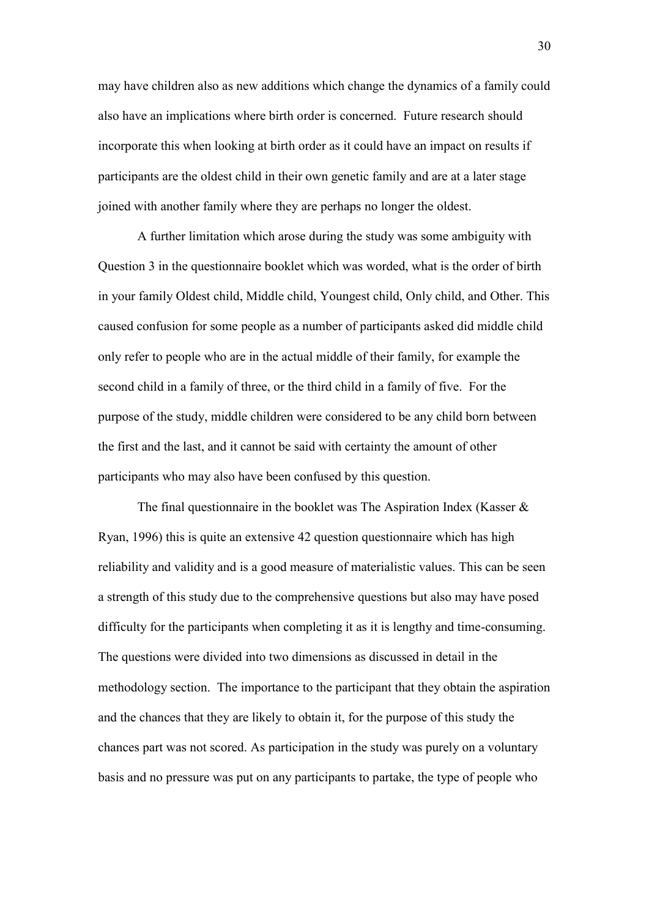may have children also as new additions which change the dynamics of a family could also have an implications where birth order is concerned. Future research should incorporate this when looking at birth order as it could have an impact on results if participants are the oldest child in their own genetic family and are at a later stage joined with another family where they are perhaps no longer the oldest.

A further limitation which arose during the study was some ambiguity with Question 3 in the questionnaire booklet which was worded, what is the order of birth in your family Oldest child, Middle child, Youngest child, Only child, and Other. This caused confusion for some people as a number of participants asked did middle child only refer to people who are in the actual middle of their family, for example the second child in a family of three, or the third child in a family of five. For the purpose of the study, middle children were considered to be any child born between the first and the last, and it cannot be said with certainty the amount of other participants who may also have been confused by this question.

The final questionnaire in the booklet was The Aspiration Index (Kasser  $\&$ Ryan, 1996) this is quite an extensive 42 question questionnaire which has high reliability and validity and is a good measure of materialistic values. This can be seen a strength of this study due to the comprehensive questions but also may have posed difficulty for the participants when completing it as it is lengthy and time-consuming. The questions were divided into two dimensions as discussed in detail in the methodology section. The importance to the participant that they obtain the aspiration and the chances that they are likely to obtain it, for the purpose of this study the chances part was not scored. As participation in the study was purely on a voluntary basis and no pressure was put on any participants to partake, the type of people who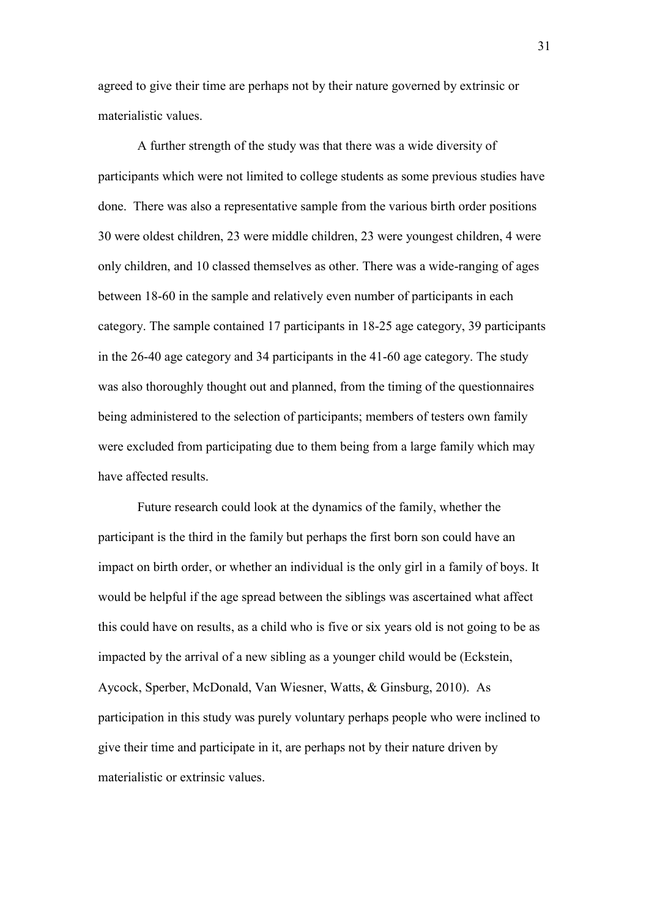agreed to give their time are perhaps not by their nature governed by extrinsic or materialistic values.

A further strength of the study was that there was a wide diversity of participants which were not limited to college students as some previous studies have done. There was also a representative sample from the various birth order positions 30 were oldest children, 23 were middle children, 23 were youngest children, 4 were only children, and 10 classed themselves as other. There was a wide-ranging of ages between 18-60 in the sample and relatively even number of participants in each category. The sample contained 17 participants in 18-25 age category, 39 participants in the 26-40 age category and 34 participants in the 41-60 age category. The study was also thoroughly thought out and planned, from the timing of the questionnaires being administered to the selection of participants; members of testers own family were excluded from participating due to them being from a large family which may have affected results.

Future research could look at the dynamics of the family, whether the participant is the third in the family but perhaps the first born son could have an impact on birth order, or whether an individual is the only girl in a family of boys. It would be helpful if the age spread between the siblings was ascertained what affect this could have on results, as a child who is five or six years old is not going to be as impacted by the arrival of a new sibling as a younger child would be (Eckstein, Aycock, Sperber, McDonald, Van Wiesner, Watts, & Ginsburg, 2010). As participation in this study was purely voluntary perhaps people who were inclined to give their time and participate in it, are perhaps not by their nature driven by materialistic or extrinsic values.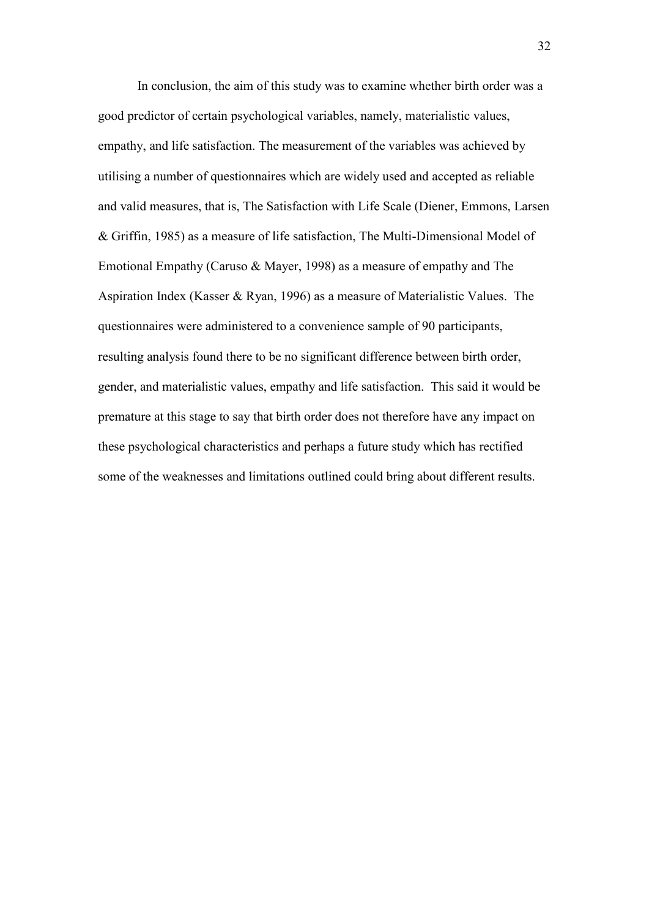In conclusion, the aim of this study was to examine whether birth order was a good predictor of certain psychological variables, namely, materialistic values, empathy, and life satisfaction. The measurement of the variables was achieved by utilising a number of questionnaires which are widely used and accepted as reliable and valid measures, that is, The Satisfaction with Life Scale (Diener, Emmons, Larsen & Griffin, 1985) as a measure of life satisfaction, The Multi-Dimensional Model of Emotional Empathy (Caruso & Mayer, 1998) as a measure of empathy and The Aspiration Index (Kasser & Ryan, 1996) as a measure of Materialistic Values. The questionnaires were administered to a convenience sample of 90 participants, resulting analysis found there to be no significant difference between birth order, gender, and materialistic values, empathy and life satisfaction. This said it would be premature at this stage to say that birth order does not therefore have any impact on these psychological characteristics and perhaps a future study which has rectified some of the weaknesses and limitations outlined could bring about different results.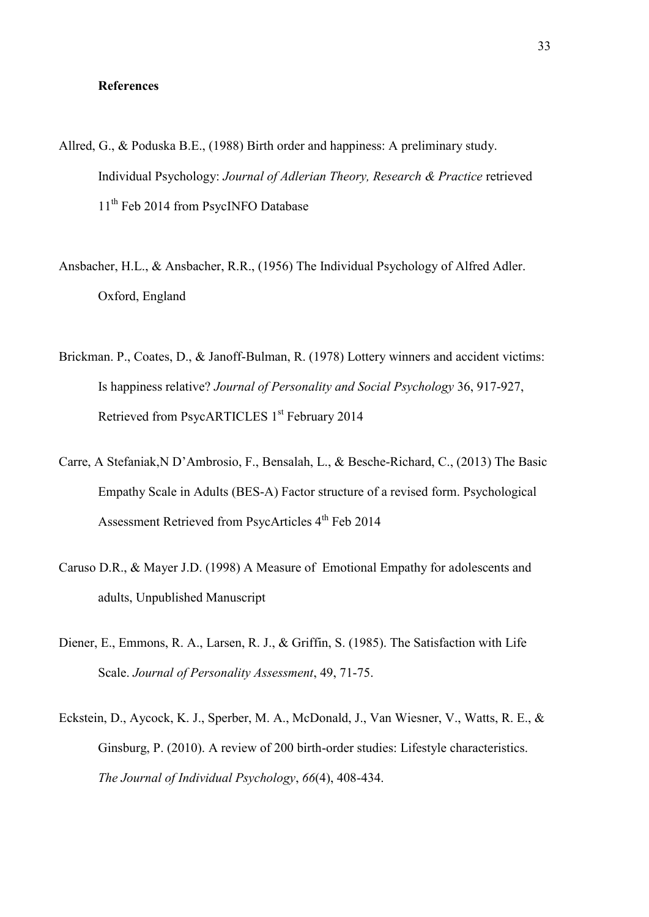#### **References**

- Allred, G., & Poduska B.E., (1988) Birth order and happiness: A preliminary study. Individual Psychology: *Journal of Adlerian Theory, Research & Practice* retrieved 11<sup>th</sup> Feb 2014 from PsycINFO Database
- Ansbacher, H.L., & Ansbacher, R.R., (1956) The Individual Psychology of Alfred Adler. Oxford, England
- Brickman. P., Coates, D., & Janoff-Bulman, R. (1978) Lottery winners and accident victims: Is happiness relative? *Journal of Personality and Social Psychology* 36, 917-927, Retrieved from PsycARTICLES 1<sup>st</sup> February 2014
- Carre, A Stefaniak,N D'Ambrosio, F., Bensalah, L., & Besche-Richard, C., (2013) The Basic Empathy Scale in Adults (BES-A) Factor structure of a revised form. Psychological Assessment Retrieved from PsycArticles 4<sup>th</sup> Feb 2014
- Caruso D.R., & Mayer J.D. (1998) A Measure of Emotional Empathy for adolescents and adults, Unpublished Manuscript
- Diener, E., Emmons, R. A., Larsen, R. J., & Griffin, S. (1985). The Satisfaction with Life Scale. *Journal of Personality Assessment*, 49, 71-75.
- Eckstein, D., Aycock, K. J., Sperber, M. A., McDonald, J., Van Wiesner, V., Watts, R. E., & Ginsburg, P. (2010). A review of 200 birth-order studies: Lifestyle characteristics. *The Journal of Individual Psychology*, *66*(4), 408-434.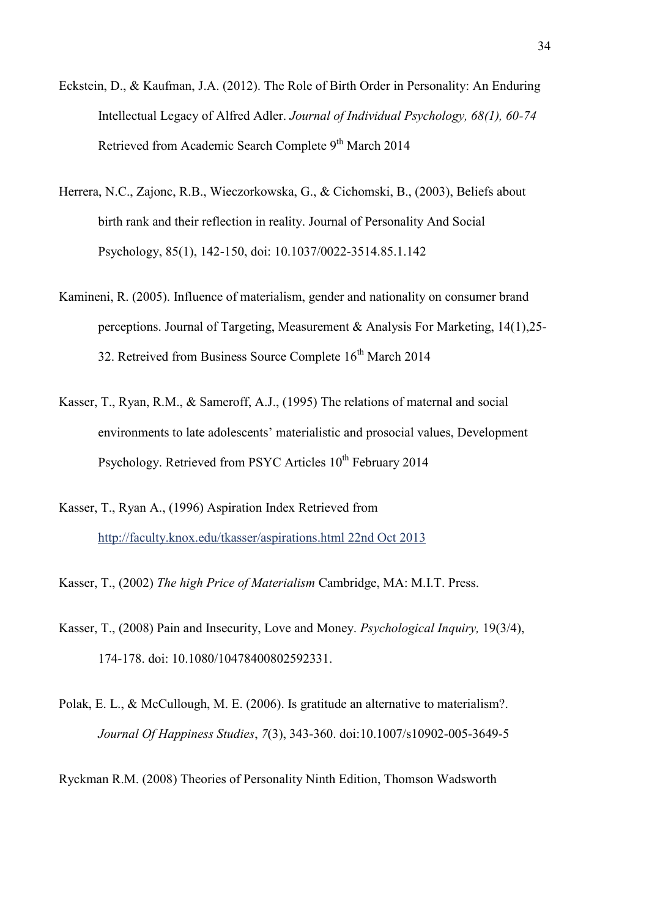- Eckstein, D., & Kaufman, J.A. (2012). The Role of Birth Order in Personality: An Enduring Intellectual Legacy of Alfred Adler. *Journal of Individual Psychology, 68(1), 60-74*  Retrieved from Academic Search Complete 9<sup>th</sup> March 2014
- Herrera, N.C., Zajonc, R.B., Wieczorkowska, G., & Cichomski, B., (2003), Beliefs about birth rank and their reflection in reality. Journal of Personality And Social Psychology, 85(1), 142-150, doi: 10.1037/0022-3514.85.1.142
- Kamineni, R. (2005). Influence of materialism, gender and nationality on consumer brand perceptions. Journal of Targeting, Measurement & Analysis For Marketing, 14(1),25- 32. Retreived from Business Source Complete  $16<sup>th</sup>$  March 2014
- Kasser, T., Ryan, R.M., & Sameroff, A.J., (1995) The relations of maternal and social environments to late adolescents' materialistic and prosocial values, Development Psychology. Retrieved from PSYC Articles 10<sup>th</sup> February 2014
- Kasser, T., Ryan A., (1996) Aspiration Index Retrieved from [http://faculty.knox.edu/tkasser/aspirations.html 22nd Oct 2013](http://faculty.knox.edu/tkasser/aspirations.html%2022nd%20Oct%202013)
- Kasser, T., (2002) *The high Price of Materialism* Cambridge, MA: M.I.T. Press.
- Kasser, T., (2008) Pain and Insecurity, Love and Money. *Psychological Inquiry,* 19(3/4), 174-178. doi: 10.1080/10478400802592331.
- Polak, E. L., & McCullough, M. E. (2006). Is gratitude an alternative to materialism?. *Journal Of Happiness Studies*, *7*(3), 343-360. doi:10.1007/s10902-005-3649-5
- Ryckman R.M. (2008) Theories of Personality Ninth Edition, Thomson Wadsworth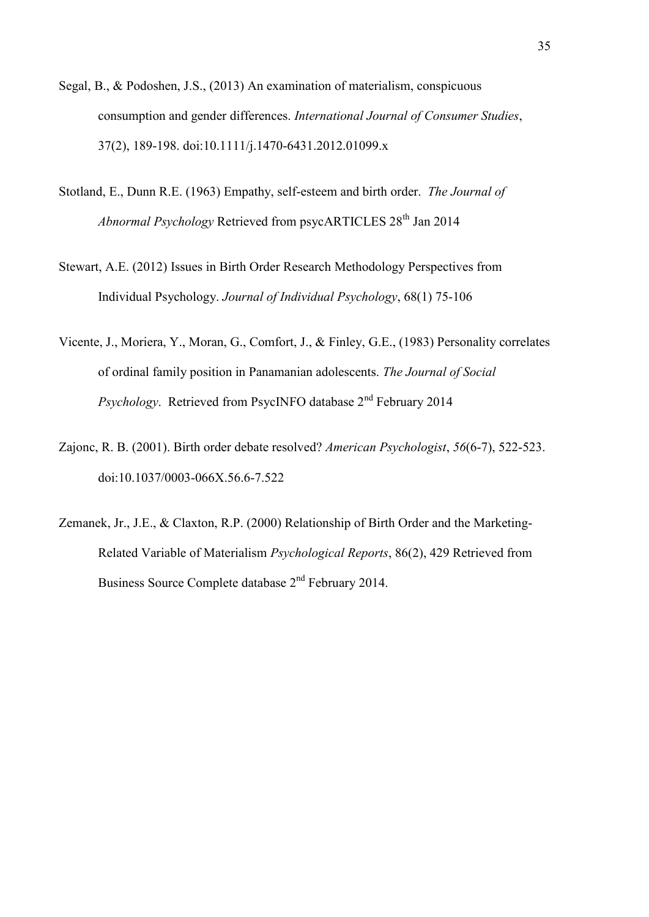- Segal, B., & Podoshen, J.S., (2013) An examination of materialism, conspicuous consumption and gender differences. *International Journal of Consumer Studies*, 37(2), 189-198. doi:10.1111/j.1470-6431.2012.01099.x
- Stotland, E., Dunn R.E. (1963) Empathy, self-esteem and birth order. *The Journal of Abnormal Psychology* Retrieved from psycARTICLES 28<sup>th</sup> Jan 2014
- Stewart, A.E. (2012) Issues in Birth Order Research Methodology Perspectives from Individual Psychology. *Journal of Individual Psychology*, 68(1) 75-106
- Vicente, J., Moriera, Y., Moran, G., Comfort, J., & Finley, G.E., (1983) Personality correlates of ordinal family position in Panamanian adolescents. *The Journal of Social Psychology.* Retrieved from PsycINFO database  $2<sup>nd</sup>$  February 2014
- Zajonc, R. B. (2001). Birth order debate resolved? *American Psychologist*, *56*(6-7), 522-523. doi:10.1037/0003-066X.56.6-7.522
- Zemanek, Jr., J.E., & Claxton, R.P. (2000) Relationship of Birth Order and the Marketing-Related Variable of Materialism *Psychological Reports*, 86(2), 429 Retrieved from Business Source Complete database 2nd February 2014.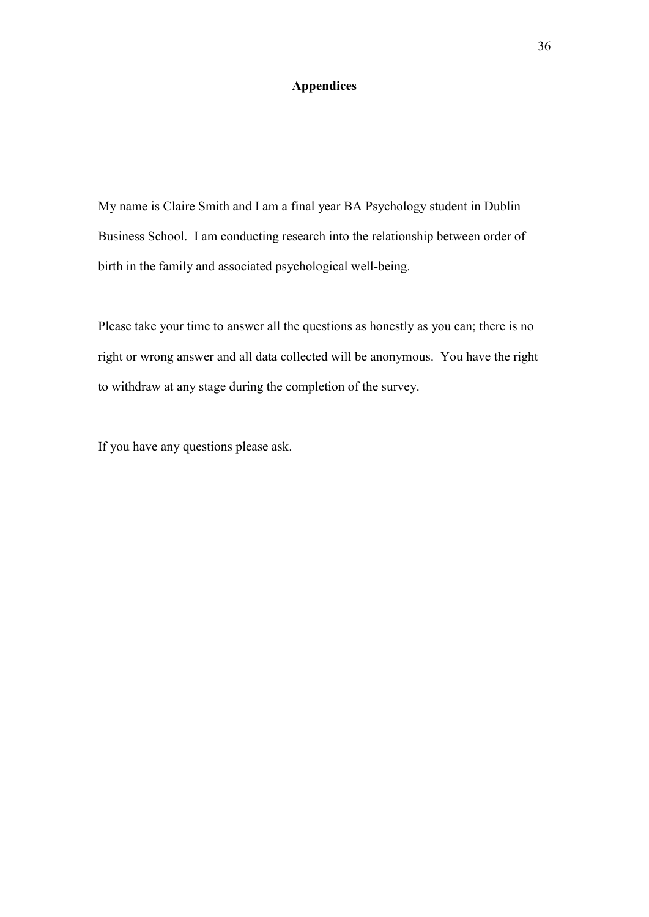# **Appendices**

My name is Claire Smith and I am a final year BA Psychology student in Dublin Business School. I am conducting research into the relationship between order of birth in the family and associated psychological well-being.

Please take your time to answer all the questions as honestly as you can; there is no right or wrong answer and all data collected will be anonymous. You have the right to withdraw at any stage during the completion of the survey.

If you have any questions please ask.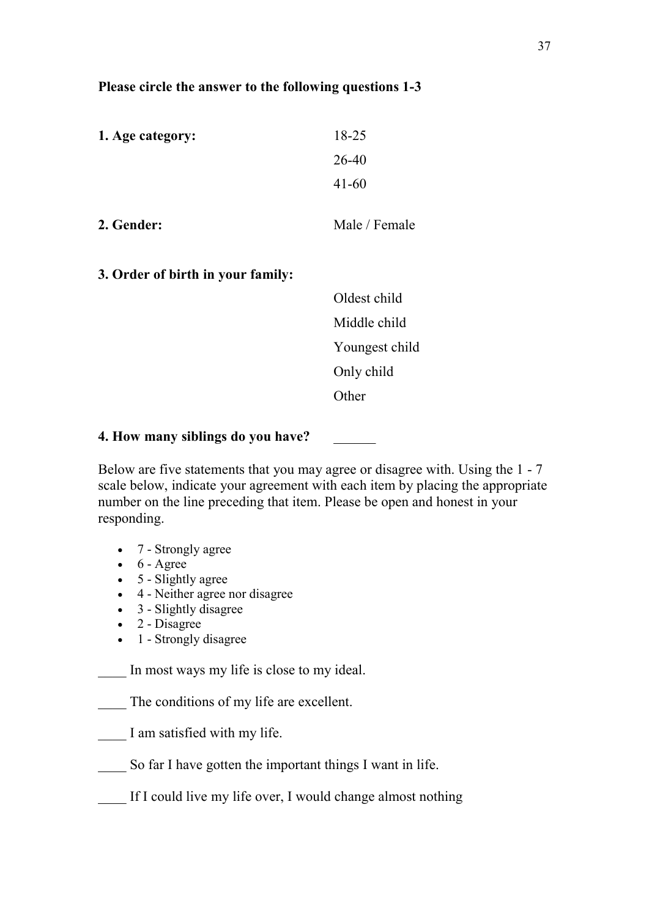# **Please circle the answer to the following questions 1-3**

| 1. Age category: | 18-25         |
|------------------|---------------|
|                  | 26-40         |
|                  | $41 - 60$     |
| 2. Gender:       | Male / Female |

**3. Order of birth in your family:** 

Oldest child Middle child Youngest child Only child **Other** Company of the Company of the Company of the Company of the Company of the Company of the Company of the Company of the Company of the Company of the Company of the Company of the Company of the Company of the Comp

# **4. How many siblings do you have?** \_\_\_\_\_\_

Below are five statements that you may agree or disagree with. Using the 1 - 7 scale below, indicate your agreement with each item by placing the appropriate number on the line preceding that item. Please be open and honest in your responding.

- 7 Strongly agree
- $\bullet$  6 Agree
- $\bullet$  5 Slightly agree
- 4 Neither agree nor disagree
- 3 Slightly disagree
- 2 Disagree
- 1 Strongly disagree

In most ways my life is close to my ideal.

The conditions of my life are excellent.

- I am satisfied with my life.
- \_\_\_\_ So far I have gotten the important things I want in life.
- If I could live my life over, I would change almost nothing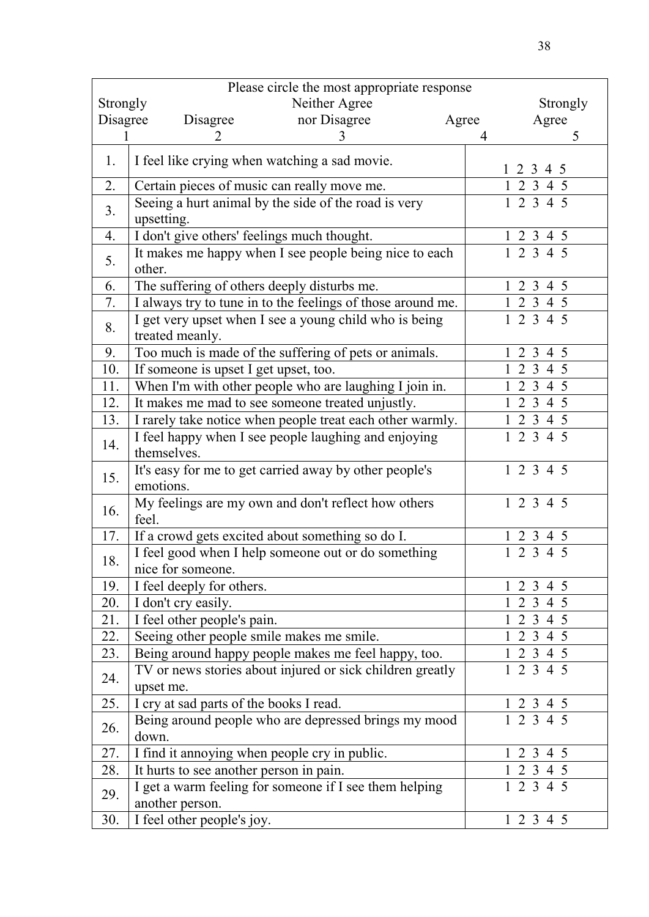| Please circle the most appropriate response |                                                                           |               |       |                                                                              |  |  |
|---------------------------------------------|---------------------------------------------------------------------------|---------------|-------|------------------------------------------------------------------------------|--|--|
| Strongly                                    |                                                                           | Neither Agree |       | Strongly                                                                     |  |  |
| Disagree                                    | Disagree                                                                  | nor Disagree  | Agree | Agree                                                                        |  |  |
|                                             | $\mathcal{D}_{\cdot}$                                                     | 3             | 4     | 5                                                                            |  |  |
| 1.                                          | I feel like crying when watching a sad movie.                             |               |       | 1 2 3 4 5                                                                    |  |  |
| 2.                                          | Certain pieces of music can really move me.                               |               |       | 1 2 3 4 5                                                                    |  |  |
| 3 <sub>1</sub>                              | Seeing a hurt animal by the side of the road is very                      |               |       | $1\ 2\ 3\ 4\ 5$                                                              |  |  |
|                                             | upsetting.                                                                |               |       |                                                                              |  |  |
| 4.                                          | I don't give others' feelings much thought.                               |               |       | 12345                                                                        |  |  |
| 5.                                          | It makes me happy when I see people being nice to each<br>other.          |               |       | 12345                                                                        |  |  |
| 6.                                          | The suffering of others deeply disturbs me.                               |               |       | 1 2 3 4 5                                                                    |  |  |
| 7.                                          | I always try to tune in to the feelings of those around me.               |               |       | 1 2 3 4 5                                                                    |  |  |
| 8.                                          | I get very upset when I see a young child who is being                    |               |       | 12345                                                                        |  |  |
|                                             | treated meanly.                                                           |               |       |                                                                              |  |  |
| 9.                                          | Too much is made of the suffering of pets or animals.                     |               |       | 1 2 3 4 5                                                                    |  |  |
| 10.                                         | If someone is upset I get upset, too.                                     |               |       | 1 2 3 4 5                                                                    |  |  |
| 11.                                         | When I'm with other people who are laughing I join in.                    |               |       | $1\ 2\ 3\ 4\ 5$                                                              |  |  |
| 12.                                         | It makes me mad to see someone treated unjustly.                          |               |       | $\overline{1}$ $\overline{2}$ $\overline{3}$ 4 5                             |  |  |
| 13.                                         | I rarely take notice when people treat each other warmly.                 |               |       | 1 2 3 4 5                                                                    |  |  |
| 14.                                         | I feel happy when I see people laughing and enjoying<br>themselves.       |               |       | 12345                                                                        |  |  |
| 15.                                         | It's easy for me to get carried away by other people's<br>emotions.       |               |       | 12345                                                                        |  |  |
| 16.                                         | My feelings are my own and don't reflect how others<br>feel.              |               |       | 12345                                                                        |  |  |
| 17.                                         | If a crowd gets excited about something so do I.                          |               |       | $1\,2\,3$<br>4 5                                                             |  |  |
|                                             | I feel good when I help someone out or do something                       |               |       | 2 <sub>3</sub><br>1<br>$\overline{4}$                                        |  |  |
| 18.                                         | nice for someone.                                                         |               |       |                                                                              |  |  |
| 19.                                         | I feel deeply for others.                                                 |               |       | 2 3 4 5                                                                      |  |  |
| 20.                                         | I don't cry easily.                                                       |               |       | 2 3 4 5                                                                      |  |  |
| 21.                                         | I feel other people's pain.                                               |               |       | $\overline{1}$ 2 3 4 5                                                       |  |  |
| 22.                                         | Seeing other people smile makes me smile.                                 |               |       | 1 2 3 4 5                                                                    |  |  |
| 23.                                         | Being around happy people makes me feel happy, too.                       |               |       | 1 2 3 4 5                                                                    |  |  |
| 24.                                         | TV or news stories about injured or sick children greatly                 |               |       | 12345                                                                        |  |  |
|                                             | upset me.                                                                 |               |       |                                                                              |  |  |
| 25.                                         | I cry at sad parts of the books I read.                                   |               |       | $\begin{array}{cccccc}\n1 & 2 & 3 & 4 & 5 \\ 1 & 2 & 3 & 4 & 5\n\end{array}$ |  |  |
| 26.                                         | Being around people who are depressed brings my mood<br>down.             |               |       |                                                                              |  |  |
| 27.                                         | I find it annoying when people cry in public.                             |               |       | 1 2 3 4 5                                                                    |  |  |
| 28.                                         | It hurts to see another person in pain.                                   |               |       | 1 2 3 4 5                                                                    |  |  |
| 29.                                         | I get a warm feeling for someone if I see them helping<br>another person. |               |       | 12345                                                                        |  |  |
| 30.                                         | I feel other people's joy.                                                |               |       | 12345                                                                        |  |  |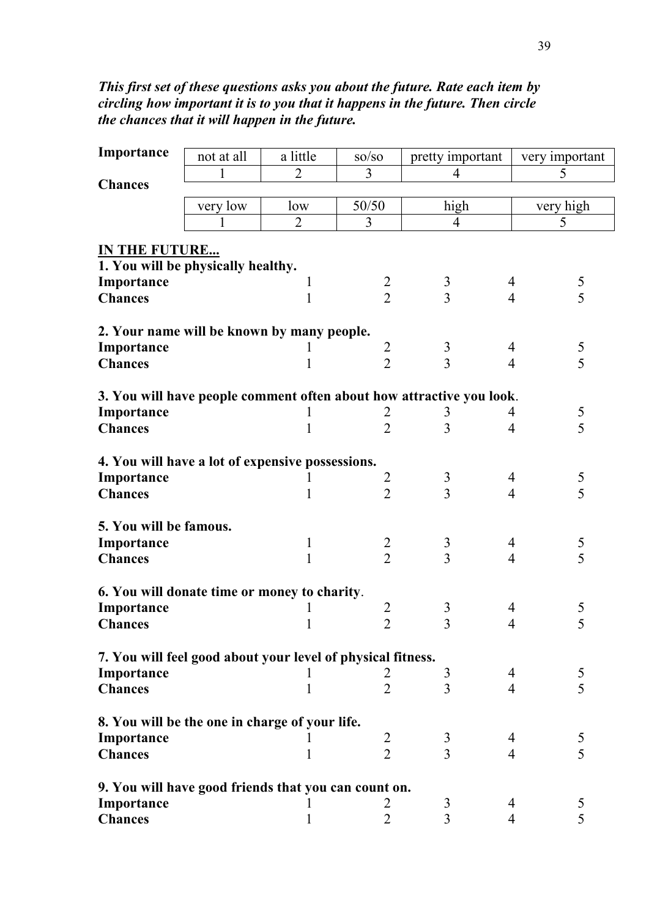# *This first set of these questions asks you about the future. Rate each item by circling how important it is to you that it happens in the future. Then circle the chances that it will happen in the future.*

| Importance                                                  | not at all | a little       | $\mathrm{SO}/\mathrm{SO}$ | pretty important                                                     |                | very important |  |  |
|-------------------------------------------------------------|------------|----------------|---------------------------|----------------------------------------------------------------------|----------------|----------------|--|--|
|                                                             | 1          | $\overline{2}$ | 3                         | $\overline{4}$                                                       |                | 5              |  |  |
| <b>Chances</b>                                              |            |                |                           |                                                                      |                |                |  |  |
|                                                             | very low   | low            | 50/50                     | high                                                                 |                | very high      |  |  |
|                                                             | 1          | $\overline{2}$ | 3                         | $\overline{4}$                                                       |                | 5              |  |  |
| IN THE FUTURE                                               |            |                |                           |                                                                      |                |                |  |  |
| 1. You will be physically healthy.                          |            |                |                           |                                                                      |                |                |  |  |
| Importance                                                  |            | 1              |                           |                                                                      | 4              |                |  |  |
| <b>Chances</b>                                              |            | $\mathbf{1}$   | $\frac{2}{2}$             | $\frac{3}{3}$                                                        | $\overline{4}$ | $\frac{5}{5}$  |  |  |
|                                                             |            |                |                           |                                                                      |                |                |  |  |
| 2. Your name will be known by many people.                  |            |                |                           |                                                                      |                |                |  |  |
| Importance                                                  |            |                | $\overline{2}$            |                                                                      | 4              |                |  |  |
| <b>Chances</b>                                              |            | 1              | $\overline{2}$            | $\frac{3}{3}$                                                        | $\overline{4}$ | $\frac{5}{5}$  |  |  |
|                                                             |            |                |                           |                                                                      |                |                |  |  |
|                                                             |            |                |                           | 3. You will have people comment often about how attractive you look. |                |                |  |  |
| Importance                                                  |            |                | $\overline{c}$            | 3                                                                    | 4              | $\frac{5}{5}$  |  |  |
| <b>Chances</b>                                              |            | 1              | $\overline{2}$            | $\overline{3}$                                                       | 4              |                |  |  |
|                                                             |            |                |                           |                                                                      |                |                |  |  |
| 4. You will have a lot of expensive possessions.            |            |                |                           |                                                                      |                |                |  |  |
| Importance                                                  |            |                | $\overline{2}$            | $\mathfrak{Z}$                                                       | 4              | $\frac{5}{5}$  |  |  |
| <b>Chances</b>                                              |            | 1              | $\overline{2}$            | $\overline{3}$                                                       | $\overline{4}$ |                |  |  |
|                                                             |            |                |                           |                                                                      |                |                |  |  |
| 5. You will be famous.                                      |            |                |                           |                                                                      |                |                |  |  |
| Importance                                                  |            | 1              | $\frac{2}{2}$             | $\mathfrak{Z}$<br>$\overline{3}$                                     | 4              | $\frac{5}{5}$  |  |  |
| <b>Chances</b>                                              |            | $\mathbf{1}$   |                           |                                                                      | $\overline{4}$ |                |  |  |
| 6. You will donate time or money to charity.                |            |                |                           |                                                                      |                |                |  |  |
| Importance                                                  |            |                | $\overline{2}$            | 3                                                                    | 4              | 5              |  |  |
| <b>Chances</b>                                              |            | 1              | $\overline{2}$            | $\overline{3}$                                                       | 4              | 5              |  |  |
|                                                             |            |                |                           |                                                                      |                |                |  |  |
| 7. You will feel good about your level of physical fitness. |            |                |                           |                                                                      |                |                |  |  |
| Importance                                                  |            |                | 2                         | 3                                                                    | 4              | 5              |  |  |
| <b>Chances</b>                                              |            | 1              | $\overline{2}$            | 3                                                                    | $\overline{4}$ | 5              |  |  |
|                                                             |            |                |                           |                                                                      |                |                |  |  |
| 8. You will be the one in charge of your life.              |            |                |                           |                                                                      |                |                |  |  |
| Importance                                                  |            |                | $\overline{2}$            | 3                                                                    | 4              | 5              |  |  |
| <b>Chances</b>                                              |            | 1              | $\overline{2}$            | $\overline{3}$                                                       | $\overline{4}$ | 5              |  |  |
|                                                             |            |                |                           |                                                                      |                |                |  |  |
| 9. You will have good friends that you can count on.        |            |                |                           |                                                                      |                |                |  |  |
| Importance                                                  |            |                | 2                         | 3                                                                    | 4              | 5              |  |  |
| <b>Chances</b>                                              |            |                | 2                         | 3                                                                    | 4              | 5              |  |  |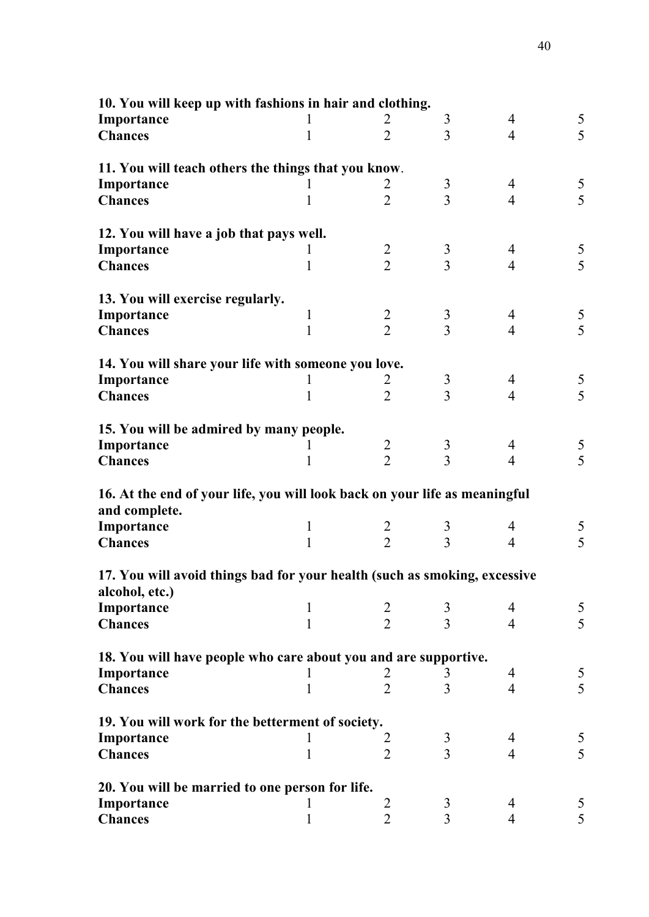| 10. You will keep up with fashions in hair and clothing.                   |              |                |                |                |                |
|----------------------------------------------------------------------------|--------------|----------------|----------------|----------------|----------------|
| Importance                                                                 |              | 2              | 3              | 4              | 5              |
| <b>Chances</b>                                                             | 1            | $\overline{2}$ | $\overline{3}$ | $\overline{4}$ | 5              |
| 11. You will teach others the things that you know.                        |              |                |                |                |                |
| Importance                                                                 |              | 2              | 3              | 4              | 5              |
| <b>Chances</b>                                                             | 1            | $\overline{2}$ | $\overline{3}$ | $\overline{4}$ | 5              |
| 12. You will have a job that pays well.                                    |              |                |                |                |                |
| Importance                                                                 | 1            | $\overline{2}$ | $\mathfrak{Z}$ | $\overline{4}$ | 5              |
| <b>Chances</b>                                                             | 1            | $\overline{2}$ | $\overline{3}$ | $\overline{4}$ | 5              |
| 13. You will exercise regularly.                                           |              |                |                |                |                |
| Importance                                                                 | $\mathbf{1}$ | $\overline{2}$ | $\mathfrak{Z}$ | $\overline{4}$ | 5              |
| <b>Chances</b>                                                             | 1            | $\overline{2}$ | $\overline{3}$ | $\overline{4}$ | $\overline{5}$ |
| 14. You will share your life with someone you love.                        |              |                |                |                |                |
| Importance                                                                 | 1            | 2              | $\mathfrak{Z}$ | 4              | 5              |
| <b>Chances</b>                                                             | 1            | $\overline{2}$ | $\overline{3}$ | $\overline{4}$ | $\overline{5}$ |
| 15. You will be admired by many people.                                    |              |                |                |                |                |
| Importance                                                                 | 1            | $\overline{2}$ | $\mathfrak{Z}$ | 4              | 5              |
| <b>Chances</b>                                                             | 1            | $\overline{2}$ | $\overline{3}$ | $\overline{4}$ | 5              |
| 16. At the end of your life, you will look back on your life as meaningful |              |                |                |                |                |
| and complete.                                                              |              |                |                |                |                |
| Importance                                                                 | $\mathbf 1$  | $\frac{2}{2}$  | 3              | 4              | 5              |
| <b>Chances</b>                                                             | 1            |                | $\overline{3}$ | $\overline{4}$ | $\overline{5}$ |
| 17. You will avoid things bad for your health (such as smoking, excessive  |              |                |                |                |                |
| alcohol, etc.)                                                             |              |                |                |                |                |
| Importance                                                                 | 1            | $\overline{2}$ | 3              | 4              | 5              |
| <b>Chances</b>                                                             | 1            | $\overline{2}$ | $\overline{3}$ | $\overline{4}$ | 5              |
| 18. You will have people who care about you and are supportive.            |              |                |                |                |                |
| Importance                                                                 |              | 2              | 3              | 4              | 5              |
| <b>Chances</b>                                                             | 1            | $\overline{2}$ | 3              | $\overline{4}$ | 5              |
| 19. You will work for the betterment of society.                           |              |                |                |                |                |
| Importance                                                                 | 1            | 2              | 3              | 4              | 5              |
| <b>Chances</b>                                                             | 1            | $\overline{2}$ | $\overline{3}$ | $\overline{4}$ | 5              |
| 20. You will be married to one person for life.                            |              |                |                |                |                |
| Importance                                                                 | 1            | 2              | 3              | 4              | 5              |
| <b>Chances</b>                                                             | 1            | $\overline{2}$ | 3              | 4              | 5              |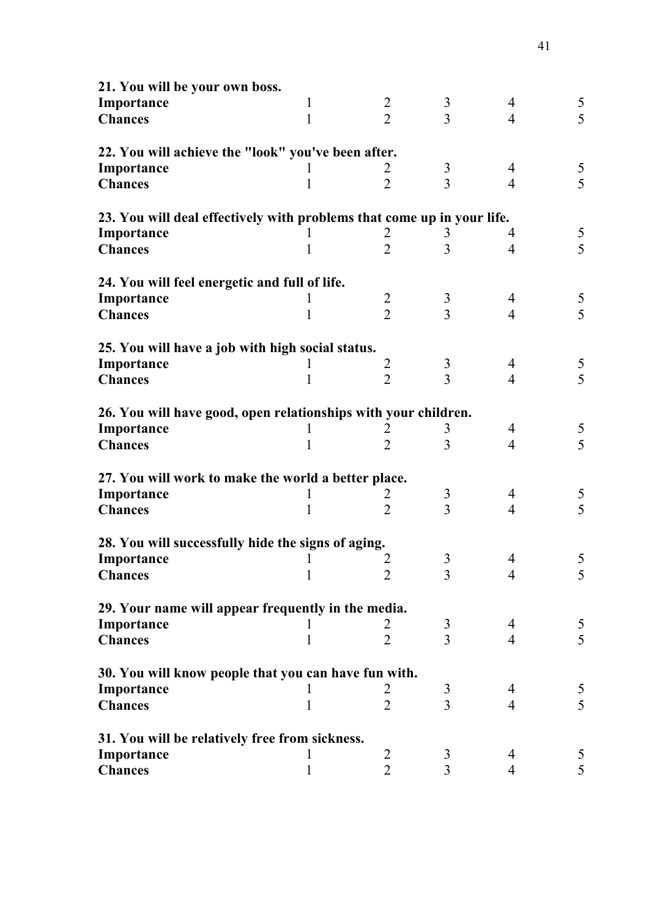| 21. You will be your own boss.                                         |             |                |                |                |               |
|------------------------------------------------------------------------|-------------|----------------|----------------|----------------|---------------|
| Importance                                                             | 1           | $\overline{2}$ | 3              | 4              | 5             |
| <b>Chances</b>                                                         | 1           | $\overline{2}$ | $\overline{3}$ | $\overline{4}$ | 5             |
| 22. You will achieve the "look" you've been after.                     |             |                |                |                |               |
| Importance                                                             |             | 2              | 3              | 4              |               |
| <b>Chances</b>                                                         |             | $\overline{2}$ | 3              | $\overline{4}$ | $\frac{5}{5}$ |
| 23. You will deal effectively with problems that come up in your life. |             |                |                |                |               |
| Importance                                                             |             | 2              | 3              | 4              | 5             |
| <b>Chances</b>                                                         | 1           | $\overline{2}$ | 3              | 4              | 5             |
| 24. You will feel energetic and full of life.                          |             |                |                |                |               |
| Importance                                                             |             | $\overline{2}$ | 3              | 4              | 5             |
| <b>Chances</b>                                                         | 1           | $\overline{2}$ | 3              | $\overline{4}$ | 5             |
| 25. You will have a job with high social status.                       |             |                |                |                |               |
| Importance                                                             | 1           | 2              | 3              | 4              | $\frac{5}{5}$ |
| <b>Chances</b>                                                         | 1           | $\overline{2}$ | 3              | $\overline{4}$ |               |
| 26. You will have good, open relationships with your children.         |             |                |                |                |               |
| Importance                                                             |             | 2              | 3              | 4              | 5             |
| <b>Chances</b>                                                         |             | $\overline{2}$ | 3              | $\overline{4}$ | 5             |
| 27. You will work to make the world a better place.                    |             |                |                |                |               |
| Importance                                                             |             | 2              | 3              | 4              | 5             |
| <b>Chances</b>                                                         | 1           | $\overline{2}$ | $\overline{3}$ | $\overline{4}$ | 5             |
| 28. You will successfully hide the signs of aging.                     |             |                |                |                |               |
| Importance                                                             |             | 2              | 3              | 4              | 5             |
| <b>Chances</b>                                                         | 1           | $\overline{2}$ | 3              | 4              | 5             |
| 29. Your name will appear frequently in the media.                     |             |                |                |                |               |
| Importance                                                             |             | 2              | 3              | 4              | 5             |
| <b>Chances</b>                                                         | 1           | $\overline{2}$ | $\overline{3}$ | $\overline{4}$ | 5             |
| 30. You will know people that you can have fun with.                   |             |                |                |                |               |
| Importance                                                             |             |                | 3              | 4              | 5             |
| <b>Chances</b>                                                         | 1           | $\overline{2}$ | $\overline{3}$ | $\overline{4}$ | 5             |
| 31. You will be relatively free from sickness.                         |             |                |                |                |               |
| Importance                                                             |             | 2              | 3              | 4              | 5             |
| <b>Chances</b>                                                         | $\mathbf 1$ | $\overline{2}$ | 3              | 4              | 5             |

41